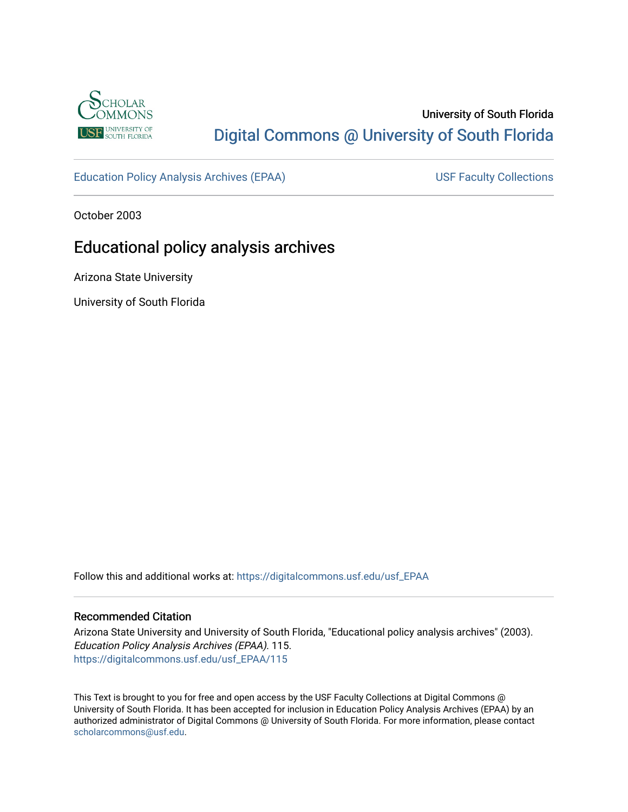

## University of South Florida [Digital Commons @ University of South Florida](https://digitalcommons.usf.edu/)

[Education Policy Analysis Archives \(EPAA\)](https://digitalcommons.usf.edu/usf_EPAA) USF Faculty Collections

October 2003

# Educational policy analysis archives

Arizona State University

University of South Florida

Follow this and additional works at: [https://digitalcommons.usf.edu/usf\\_EPAA](https://digitalcommons.usf.edu/usf_EPAA?utm_source=digitalcommons.usf.edu%2Fusf_EPAA%2F115&utm_medium=PDF&utm_campaign=PDFCoverPages)

#### Recommended Citation

Arizona State University and University of South Florida, "Educational policy analysis archives" (2003). Education Policy Analysis Archives (EPAA). 115. [https://digitalcommons.usf.edu/usf\\_EPAA/115](https://digitalcommons.usf.edu/usf_EPAA/115?utm_source=digitalcommons.usf.edu%2Fusf_EPAA%2F115&utm_medium=PDF&utm_campaign=PDFCoverPages)

This Text is brought to you for free and open access by the USF Faculty Collections at Digital Commons @ University of South Florida. It has been accepted for inclusion in Education Policy Analysis Archives (EPAA) by an authorized administrator of Digital Commons @ University of South Florida. For more information, please contact [scholarcommons@usf.edu.](mailto:scholarcommons@usf.edu)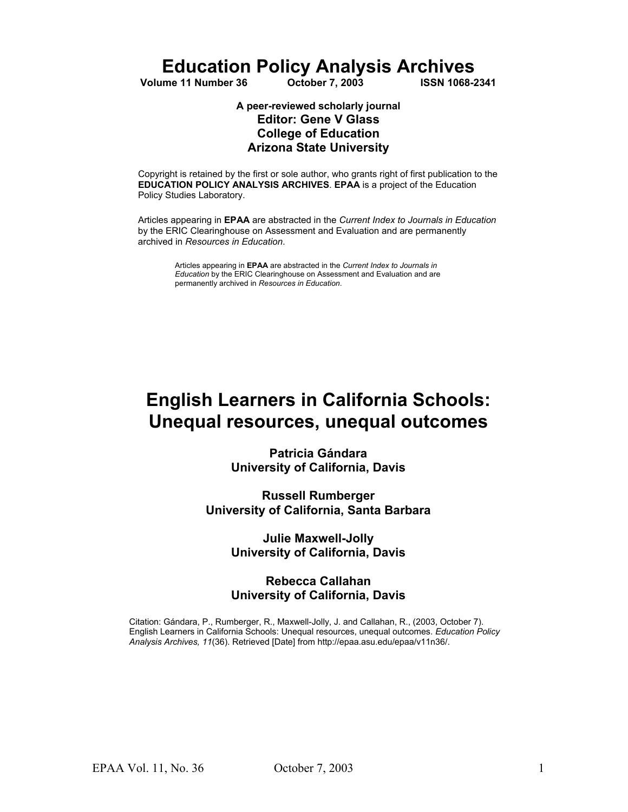**Education Policy Analysis Archives**<br>Inne 11 Number 36 Cotober 7, 2003 **1988 1988-2341** 

**Volume 11 Number 36** 

#### **A peer-reviewed scholarly journal Editor: Gene V Glass College of Education Arizona State University**

Copyright is retained by the first or sole author, who grants right of first publication to the **EDUCATION POLICY ANALYSIS ARCHIVES**. **EPAA** is a project of the Education Policy Studies Laboratory.

Articles appearing in **EPAA** are abstracted in the *Current Index to Journals in Education* by the ERIC Clearinghouse on Assessment and Evaluation and are permanently archived in *Resources in Education*.

Articles appearing in **EPAA** are abstracted in the *Current Index to Journals in Education* by the ERIC Clearinghouse on Assessment and Evaluation and are permanently archived in *Resources in Education*.

# **English Learners in California Schools: Unequal resources, unequal outcomes**

**Patricia Gándara University of California, Davis** 

**Russell Rumberger University of California, Santa Barbara** 

> **Julie Maxwell-Jolly University of California, Davis**

#### **Rebecca Callahan University of California, Davis**

Citation: Gándara, P., Rumberger, R., Maxwell-Jolly, J. and Callahan, R., (2003, October 7). English Learners in California Schools: Unequal resources, unequal outcomes. *Education Policy Analysis Archives, 11*(36). Retrieved [Date] from http://epaa.asu.edu/epaa/v11n36/.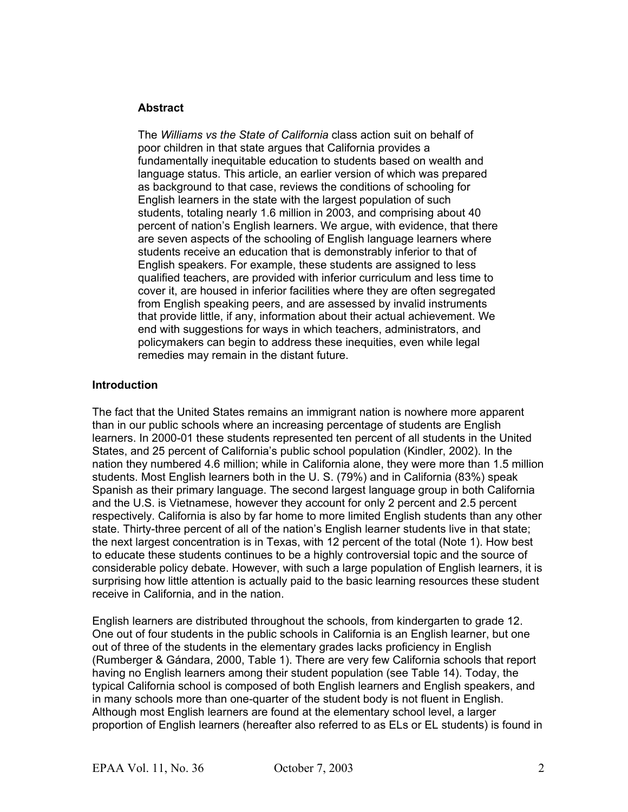#### **Abstract**

The *Williams vs the State of California* class action suit on behalf of poor children in that state argues that California provides a fundamentally inequitable education to students based on wealth and language status. This article, an earlier version of which was prepared as background to that case, reviews the conditions of schooling for English learners in the state with the largest population of such students, totaling nearly 1.6 million in 2003, and comprising about 40 percent of nation's English learners. We argue, with evidence, that there are seven aspects of the schooling of English language learners where students receive an education that is demonstrably inferior to that of English speakers. For example, these students are assigned to less qualified teachers, are provided with inferior curriculum and less time to cover it, are housed in inferior facilities where they are often segregated from English speaking peers, and are assessed by invalid instruments that provide little, if any, information about their actual achievement. We end with suggestions for ways in which teachers, administrators, and policymakers can begin to address these inequities, even while legal remedies may remain in the distant future.

#### **Introduction**

The fact that the United States remains an immigrant nation is nowhere more apparent than in our public schools where an increasing percentage of students are English learners. In 2000-01 these students represented ten percent of all students in the United States, and 25 percent of California's public school population (Kindler, 2002). In the nation they numbered 4.6 million; while in California alone, they were more than 1.5 million students. Most English learners both in the U. S. (79%) and in California (83%) speak Spanish as their primary language. The second largest language group in both California and the U.S. is Vietnamese, however they account for only 2 percent and 2.5 percent respectively. California is also by far home to more limited English students than any other state. Thirty-three percent of all of the nation's English learner students live in that state; the next largest concentration is in Texas, with 12 percent of the total (Note 1). How best to educate these students continues to be a highly controversial topic and the source of considerable policy debate. However, with such a large population of English learners, it is surprising how little attention is actually paid to the basic learning resources these student receive in California, and in the nation.

English learners are distributed throughout the schools, from kindergarten to grade 12. One out of four students in the public schools in California is an English learner, but one out of three of the students in the elementary grades lacks proficiency in English (Rumberger & Gándara, 2000, Table 1). There are very few California schools that report having no English learners among their student population (see Table 14). Today, the typical California school is composed of both English learners and English speakers, and in many schools more than one-quarter of the student body is not fluent in English. Although most English learners are found at the elementary school level, a larger proportion of English learners (hereafter also referred to as ELs or EL students) is found in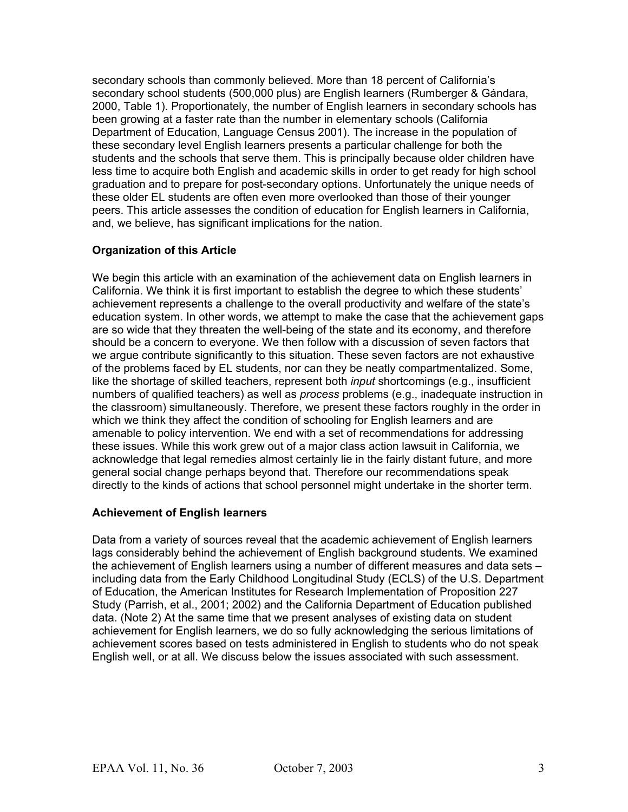secondary schools than commonly believed. More than 18 percent of California's secondary school students (500,000 plus) are English learners (Rumberger & Gándara, 2000, Table 1). Proportionately, the number of English learners in secondary schools has been growing at a faster rate than the number in elementary schools (California Department of Education, Language Census 2001). The increase in the population of these secondary level English learners presents a particular challenge for both the students and the schools that serve them. This is principally because older children have less time to acquire both English and academic skills in order to get ready for high school graduation and to prepare for post-secondary options. Unfortunately the unique needs of these older EL students are often even more overlooked than those of their younger peers. This article assesses the condition of education for English learners in California, and, we believe, has significant implications for the nation.

#### **Organization of this Article**

We begin this article with an examination of the achievement data on English learners in California. We think it is first important to establish the degree to which these students' achievement represents a challenge to the overall productivity and welfare of the state's education system. In other words, we attempt to make the case that the achievement gaps are so wide that they threaten the well-being of the state and its economy, and therefore should be a concern to everyone. We then follow with a discussion of seven factors that we argue contribute significantly to this situation. These seven factors are not exhaustive of the problems faced by EL students, nor can they be neatly compartmentalized. Some, like the shortage of skilled teachers, represent both *input* shortcomings (e.g., insufficient numbers of qualified teachers) as well as *process* problems (e.g., inadequate instruction in the classroom) simultaneously. Therefore, we present these factors roughly in the order in which we think they affect the condition of schooling for English learners and are amenable to policy intervention. We end with a set of recommendations for addressing these issues. While this work grew out of a major class action lawsuit in California, we acknowledge that legal remedies almost certainly lie in the fairly distant future, and more general social change perhaps beyond that. Therefore our recommendations speak directly to the kinds of actions that school personnel might undertake in the shorter term.

#### **Achievement of English learners**

Data from a variety of sources reveal that the academic achievement of English learners lags considerably behind the achievement of English background students. We examined the achievement of English learners using a number of different measures and data sets – including data from the Early Childhood Longitudinal Study (ECLS) of the U.S. Department of Education, the American Institutes for Research Implementation of Proposition 227 Study (Parrish, et al., 2001; 2002) and the California Department of Education published data. (Note 2) At the same time that we present analyses of existing data on student achievement for English learners, we do so fully acknowledging the serious limitations of achievement scores based on tests administered in English to students who do not speak English well, or at all. We discuss below the issues associated with such assessment.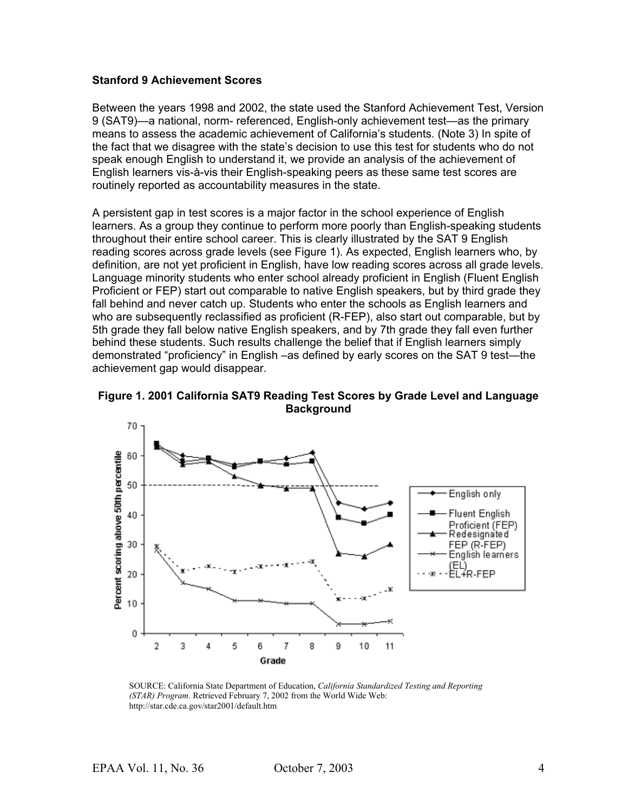#### **Stanford 9 Achievement Scores**

Between the years 1998 and 2002, the state used the Stanford Achievement Test, Version 9 (SAT9)—a national, norm- referenced, English-only achievement test—as the primary means to assess the academic achievement of California's students. (Note 3) In spite of the fact that we disagree with the state's decision to use this test for students who do not speak enough English to understand it, we provide an analysis of the achievement of English learners vis-à-vis their English-speaking peers as these same test scores are routinely reported as accountability measures in the state.

A persistent gap in test scores is a major factor in the school experience of English learners. As a group they continue to perform more poorly than English-speaking students throughout their entire school career. This is clearly illustrated by the SAT 9 English reading scores across grade levels (see Figure 1). As expected, English learners who, by definition, are not yet proficient in English, have low reading scores across all grade levels. Language minority students who enter school already proficient in English (Fluent English Proficient or FEP) start out comparable to native English speakers, but by third grade they fall behind and never catch up. Students who enter the schools as English learners and who are subsequently reclassified as proficient (R-FEP), also start out comparable, but by 5th grade they fall below native English speakers, and by 7th grade they fall even further behind these students. Such results challenge the belief that if English learners simply demonstrated "proficiency" in English –as defined by early scores on the SAT 9 test—the achievement gap would disappear.





SOURCE: California State Department of Education, *California Standardized Testing and Reporting (STAR) Program*. Retrieved February 7, 2002 from the World Wide Web: http://star.cde.ca.gov/star2001/default.htm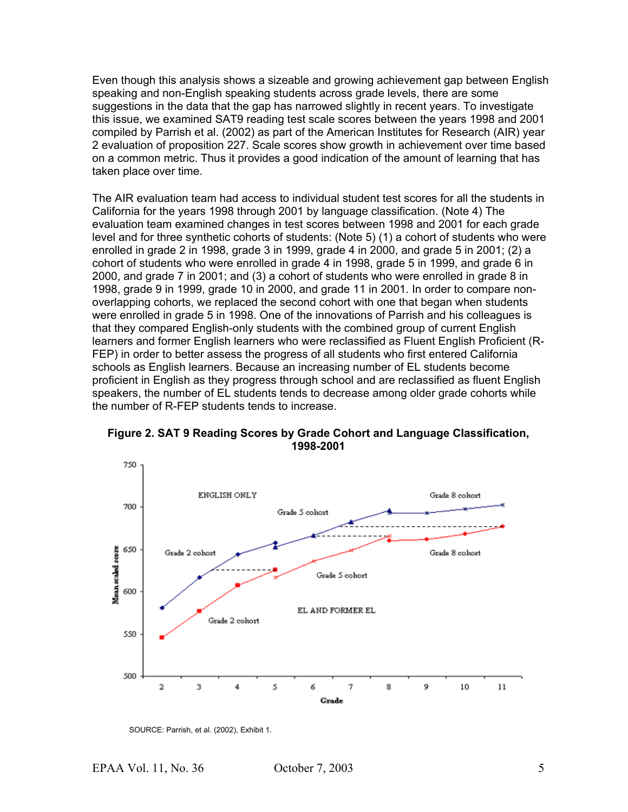Even though this analysis shows a sizeable and growing achievement gap between English speaking and non-English speaking students across grade levels, there are some suggestions in the data that the gap has narrowed slightly in recent years. To investigate this issue, we examined SAT9 reading test scale scores between the years 1998 and 2001 compiled by Parrish et al. (2002) as part of the American Institutes for Research (AIR) year 2 evaluation of proposition 227. Scale scores show growth in achievement over time based on a common metric. Thus it provides a good indication of the amount of learning that has taken place over time.

The AIR evaluation team had access to individual student test scores for all the students in California for the years 1998 through 2001 by language classification. (Note 4) The evaluation team examined changes in test scores between 1998 and 2001 for each grade level and for three synthetic cohorts of students: (Note 5) (1) a cohort of students who were enrolled in grade 2 in 1998, grade 3 in 1999, grade 4 in 2000, and grade 5 in 2001; (2) a cohort of students who were enrolled in grade 4 in 1998, grade 5 in 1999, and grade 6 in 2000, and grade 7 in 2001; and (3) a cohort of students who were enrolled in grade 8 in 1998, grade 9 in 1999, grade 10 in 2000, and grade 11 in 2001. In order to compare nonoverlapping cohorts, we replaced the second cohort with one that began when students were enrolled in grade 5 in 1998. One of the innovations of Parrish and his colleagues is that they compared English-only students with the combined group of current English learners and former English learners who were reclassified as Fluent English Proficient (R-FEP) in order to better assess the progress of all students who first entered California schools as English learners. Because an increasing number of EL students become proficient in English as they progress through school and are reclassified as fluent English speakers, the number of EL students tends to decrease among older grade cohorts while the number of R-FEP students tends to increase.



**Figure 2. SAT 9 Reading Scores by Grade Cohort and Language Classification, 1998-2001** 

SOURCE: Parrish, et al. (2002), Exhibit 1.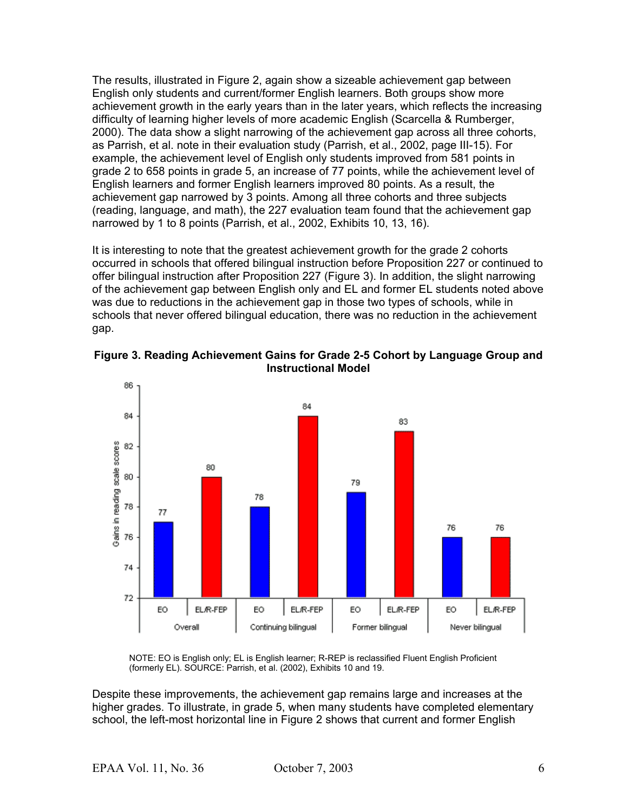The results, illustrated in Figure 2, again show a sizeable achievement gap between English only students and current/former English learners. Both groups show more achievement growth in the early years than in the later years, which reflects the increasing difficulty of learning higher levels of more academic English (Scarcella & Rumberger, 2000). The data show a slight narrowing of the achievement gap across all three cohorts, as Parrish, et al. note in their evaluation study (Parrish, et al., 2002, page III-15). For example, the achievement level of English only students improved from 581 points in grade 2 to 658 points in grade 5, an increase of 77 points, while the achievement level of English learners and former English learners improved 80 points. As a result, the achievement gap narrowed by 3 points. Among all three cohorts and three subjects (reading, language, and math), the 227 evaluation team found that the achievement gap narrowed by 1 to 8 points (Parrish, et al., 2002, Exhibits 10, 13, 16).

It is interesting to note that the greatest achievement growth for the grade 2 cohorts occurred in schools that offered bilingual instruction before Proposition 227 or continued to offer bilingual instruction after Proposition 227 (Figure 3). In addition, the slight narrowing of the achievement gap between English only and EL and former EL students noted above was due to reductions in the achievement gap in those two types of schools, while in schools that never offered bilingual education, there was no reduction in the achievement gap.



**Figure 3. Reading Achievement Gains for Grade 2-5 Cohort by Language Group and Instructional Model**

NOTE: EO is English only; EL is English learner; R-REP is reclassified Fluent English Proficient (formerly EL). SOURCE: Parrish, et al. (2002), Exhibits 10 and 19.

Despite these improvements, the achievement gap remains large and increases at the higher grades. To illustrate, in grade 5, when many students have completed elementary school, the left-most horizontal line in Figure 2 shows that current and former English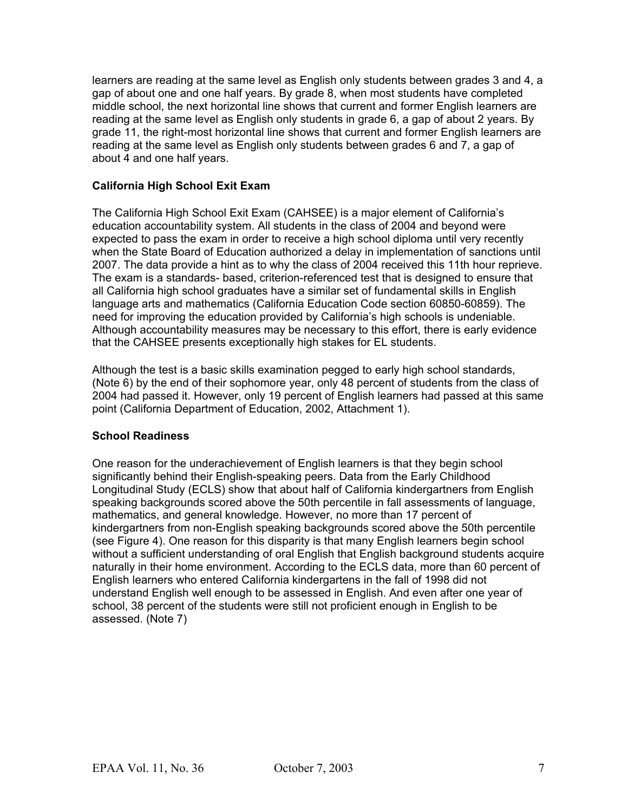learners are reading at the same level as English only students between grades 3 and 4, a gap of about one and one half years. By grade 8, when most students have completed middle school, the next horizontal line shows that current and former English learners are reading at the same level as English only students in grade 6, a gap of about 2 years. By grade 11, the right-most horizontal line shows that current and former English learners are reading at the same level as English only students between grades 6 and 7, a gap of about 4 and one half years.

#### **California High School Exit Exam**

The California High School Exit Exam (CAHSEE) is a major element of California's education accountability system. All students in the class of 2004 and beyond were expected to pass the exam in order to receive a high school diploma until very recently when the State Board of Education authorized a delay in implementation of sanctions until 2007. The data provide a hint as to why the class of 2004 received this 11th hour reprieve. The exam is a standards- based, criterion-referenced test that is designed to ensure that all California high school graduates have a similar set of fundamental skills in English language arts and mathematics (California Education Code section 60850-60859). The need for improving the education provided by California's high schools is undeniable. Although accountability measures may be necessary to this effort, there is early evidence that the CAHSEE presents exceptionally high stakes for EL students.

Although the test is a basic skills examination pegged to early high school standards, (Note 6) by the end of their sophomore year, only 48 percent of students from the class of 2004 had passed it. However, only 19 percent of English learners had passed at this same point (California Department of Education, 2002, Attachment 1).

#### **School Readiness**

One reason for the underachievement of English learners is that they begin school significantly behind their English-speaking peers. Data from the Early Childhood Longitudinal Study (ECLS) show that about half of California kindergartners from English speaking backgrounds scored above the 50th percentile in fall assessments of language, mathematics, and general knowledge. However, no more than 17 percent of kindergartners from non-English speaking backgrounds scored above the 50th percentile (see Figure 4). One reason for this disparity is that many English learners begin school without a sufficient understanding of oral English that English background students acquire naturally in their home environment. According to the ECLS data, more than 60 percent of English learners who entered California kindergartens in the fall of 1998 did not understand English well enough to be assessed in English. And even after one year of school, 38 percent of the students were still not proficient enough in English to be assessed. (Note 7)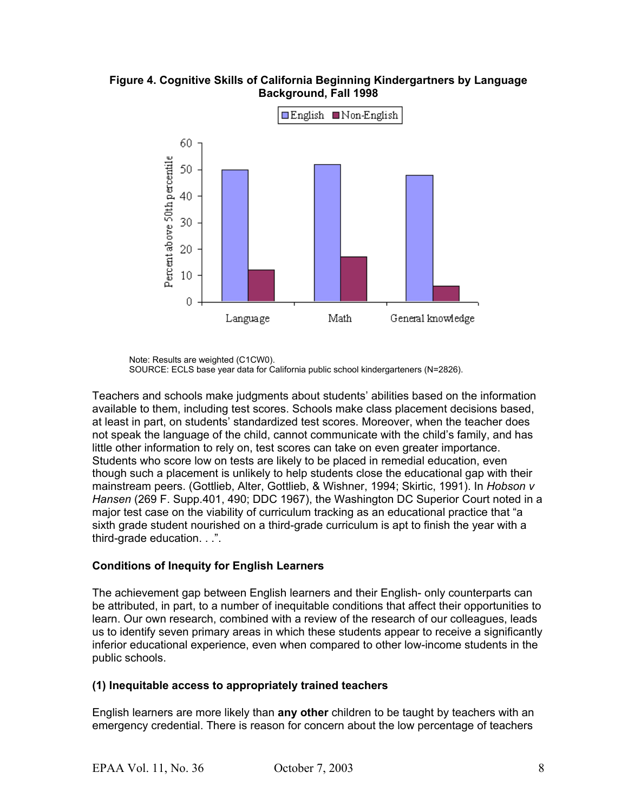**Figure 4. Cognitive Skills of California Beginning Kindergartners by Language Background, Fall 1998**



Note: Results are weighted (C1CW0). SOURCE: ECLS base year data for California public school kindergarteners (N=2826).

Teachers and schools make judgments about students' abilities based on the information available to them, including test scores. Schools make class placement decisions based, at least in part, on students' standardized test scores. Moreover, when the teacher does not speak the language of the child, cannot communicate with the child's family, and has little other information to rely on, test scores can take on even greater importance. Students who score low on tests are likely to be placed in remedial education, even though such a placement is unlikely to help students close the educational gap with their mainstream peers. (Gottlieb, Alter, Gottlieb, & Wishner, 1994; Skirtic, 1991). In *Hobson v Hansen* (269 F. Supp.401, 490; DDC 1967), the Washington DC Superior Court noted in a major test case on the viability of curriculum tracking as an educational practice that "a sixth grade student nourished on a third-grade curriculum is apt to finish the year with a third-grade education. . .".

#### **Conditions of Inequity for English Learners**

The achievement gap between English learners and their English- only counterparts can be attributed, in part, to a number of inequitable conditions that affect their opportunities to learn. Our own research, combined with a review of the research of our colleagues, leads us to identify seven primary areas in which these students appear to receive a significantly inferior educational experience, even when compared to other low-income students in the public schools.

#### **(1) Inequitable access to appropriately trained teachers**

English learners are more likely than **any other** children to be taught by teachers with an emergency credential. There is reason for concern about the low percentage of teachers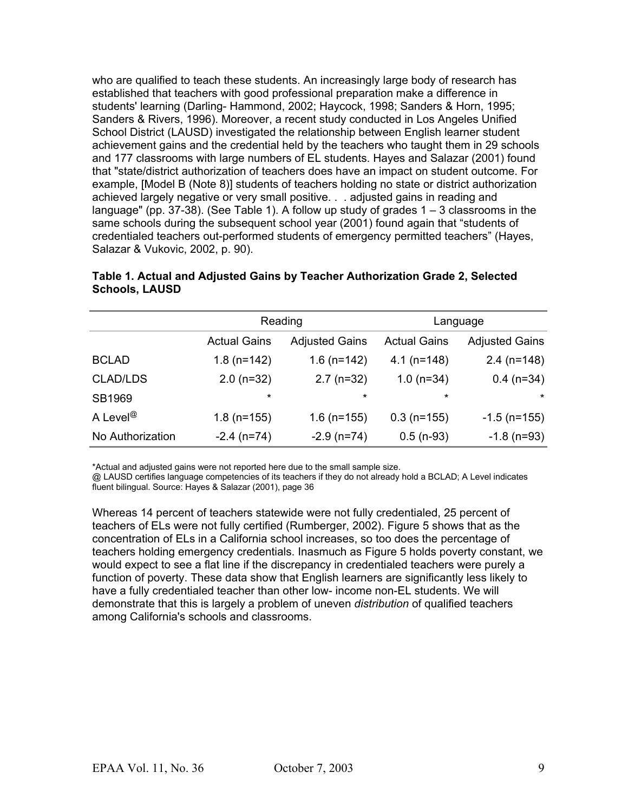who are qualified to teach these students. An increasingly large body of research has established that teachers with good professional preparation make a difference in students' learning (Darling- Hammond, 2002; Haycock, 1998; Sanders & Horn, 1995; Sanders & Rivers, 1996). Moreover, a recent study conducted in Los Angeles Unified School District (LAUSD) investigated the relationship between English learner student achievement gains and the credential held by the teachers who taught them in 29 schools and 177 classrooms with large numbers of EL students. Hayes and Salazar (2001) found that "state/district authorization of teachers does have an impact on student outcome. For example, [Model B (Note 8)] students of teachers holding no state or district authorization achieved largely negative or very small positive. . . adjusted gains in reading and language" (pp.  $37-38$ ). (See Table 1). A follow up study of grades  $1-3$  classrooms in the same schools during the subsequent school year (2001) found again that "students of credentialed teachers out-performed students of emergency permitted teachers" (Hayes, Salazar & Vukovic, 2002, p. 90).

|                      |                     | Reading               |                     | Language              |
|----------------------|---------------------|-----------------------|---------------------|-----------------------|
|                      | <b>Actual Gains</b> | <b>Adjusted Gains</b> | <b>Actual Gains</b> | <b>Adjusted Gains</b> |
| <b>BCLAD</b>         | $1.8$ (n=142)       | $1.6$ (n=142)         | $4.1$ (n=148)       | $2.4$ (n=148)         |
| <b>CLAD/LDS</b>      | $2.0$ (n=32)        | $2.7$ (n=32)          | $1.0$ (n=34)        | $0.4$ (n=34)          |
| SB1969               | $\star$             | $\star$               | $\star$             | $\star$               |
| A Level <sup>@</sup> | $1.8$ (n=155)       | $1.6$ (n=155)         | $0.3$ (n=155)       | $-1.5$ (n=155)        |
| No Authorization     | $-2.4$ (n=74)       | $-2.9$ (n=74)         | $0.5$ (n-93)        | $-1.8$ (n=93)         |

#### **Table 1. Actual and Adjusted Gains by Teacher Authorization Grade 2, Selected Schools, LAUSD**

\*Actual and adjusted gains were not reported here due to the small sample size.

@ LAUSD certifies language competencies of its teachers if they do not already hold a BCLAD; A Level indicates fluent bilingual. Source: Hayes & Salazar (2001), page 36

Whereas 14 percent of teachers statewide were not fully credentialed, 25 percent of teachers of ELs were not fully certified (Rumberger, 2002). Figure 5 shows that as the concentration of ELs in a California school increases, so too does the percentage of teachers holding emergency credentials. Inasmuch as Figure 5 holds poverty constant, we would expect to see a flat line if the discrepancy in credentialed teachers were purely a function of poverty. These data show that English learners are significantly less likely to have a fully credentialed teacher than other low- income non-EL students. We will demonstrate that this is largely a problem of uneven *distribution* of qualified teachers among California's schools and classrooms.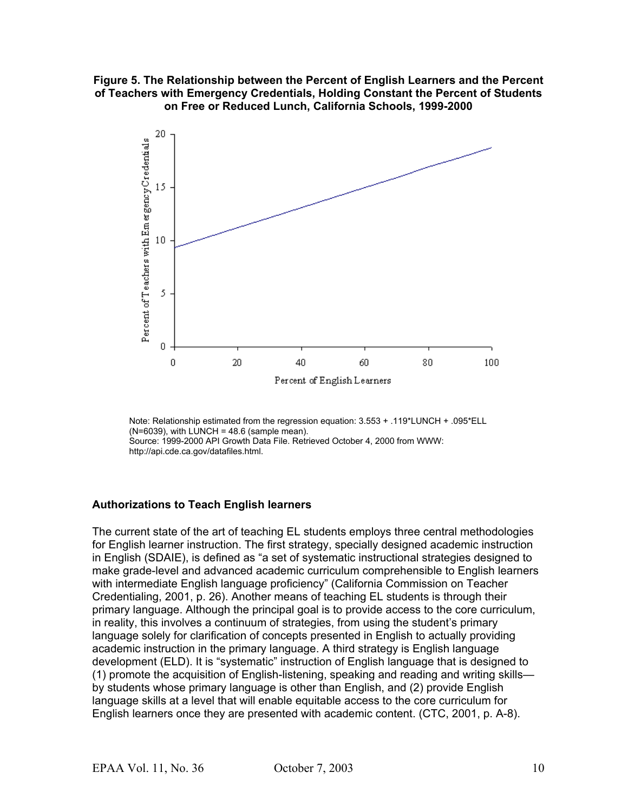**Figure 5. The Relationship between the Percent of English Learners and the Percent of Teachers with Emergency Credentials, Holding Constant the Percent of Students on Free or Reduced Lunch, California Schools, 1999-2000**



Note: Relationship estimated from the regression equation: 3.553 + .119\*LUNCH + .095\*ELL  $(N=6039)$ , with LUNCH = 48.6 (sample mean). Source: 1999-2000 API Growth Data File. Retrieved October 4, 2000 from WWW: http://api.cde.ca.gov/datafiles.html.

#### **Authorizations to Teach English learners**

The current state of the art of teaching EL students employs three central methodologies for English learner instruction. The first strategy, specially designed academic instruction in English (SDAIE), is defined as "a set of systematic instructional strategies designed to make grade-level and advanced academic curriculum comprehensible to English learners with intermediate English language proficiency" (California Commission on Teacher Credentialing, 2001, p. 26). Another means of teaching EL students is through their primary language. Although the principal goal is to provide access to the core curriculum, in reality, this involves a continuum of strategies, from using the student's primary language solely for clarification of concepts presented in English to actually providing academic instruction in the primary language. A third strategy is English language development (ELD). It is "systematic" instruction of English language that is designed to (1) promote the acquisition of English-listening, speaking and reading and writing skills by students whose primary language is other than English, and (2) provide English language skills at a level that will enable equitable access to the core curriculum for English learners once they are presented with academic content. (CTC, 2001, p. A-8).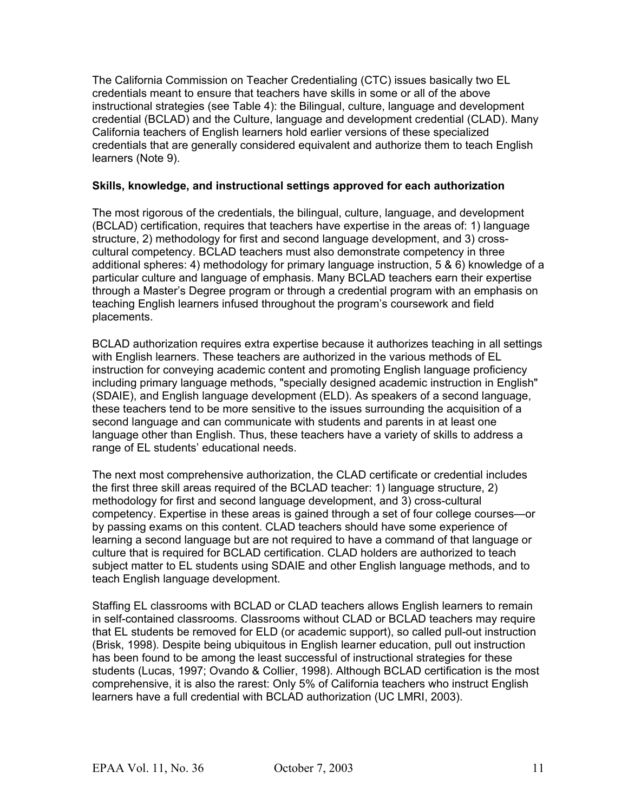The California Commission on Teacher Credentialing (CTC) issues basically two EL credentials meant to ensure that teachers have skills in some or all of the above instructional strategies (see Table 4): the Bilingual, culture, language and development credential (BCLAD) and the Culture, language and development credential (CLAD). Many California teachers of English learners hold earlier versions of these specialized credentials that are generally considered equivalent and authorize them to teach English learners (Note 9).

#### **Skills, knowledge, and instructional settings approved for each authorization**

The most rigorous of the credentials, the bilingual, culture, language, and development (BCLAD) certification, requires that teachers have expertise in the areas of: 1) language structure, 2) methodology for first and second language development, and 3) crosscultural competency. BCLAD teachers must also demonstrate competency in three additional spheres: 4) methodology for primary language instruction, 5 & 6) knowledge of a particular culture and language of emphasis. Many BCLAD teachers earn their expertise through a Master's Degree program or through a credential program with an emphasis on teaching English learners infused throughout the program's coursework and field placements.

BCLAD authorization requires extra expertise because it authorizes teaching in all settings with English learners. These teachers are authorized in the various methods of EL instruction for conveying academic content and promoting English language proficiency including primary language methods, "specially designed academic instruction in English" (SDAIE), and English language development (ELD). As speakers of a second language, these teachers tend to be more sensitive to the issues surrounding the acquisition of a second language and can communicate with students and parents in at least one language other than English. Thus, these teachers have a variety of skills to address a range of EL students' educational needs.

The next most comprehensive authorization, the CLAD certificate or credential includes the first three skill areas required of the BCLAD teacher: 1) language structure, 2) methodology for first and second language development, and 3) cross-cultural competency. Expertise in these areas is gained through a set of four college courses—or by passing exams on this content. CLAD teachers should have some experience of learning a second language but are not required to have a command of that language or culture that is required for BCLAD certification. CLAD holders are authorized to teach subject matter to EL students using SDAIE and other English language methods, and to teach English language development.

Staffing EL classrooms with BCLAD or CLAD teachers allows English learners to remain in self-contained classrooms. Classrooms without CLAD or BCLAD teachers may require that EL students be removed for ELD (or academic support), so called pull-out instruction (Brisk, 1998). Despite being ubiquitous in English learner education, pull out instruction has been found to be among the least successful of instructional strategies for these students (Lucas, 1997; Ovando & Collier, 1998). Although BCLAD certification is the most comprehensive, it is also the rarest: Only 5% of California teachers who instruct English learners have a full credential with BCLAD authorization (UC LMRI, 2003).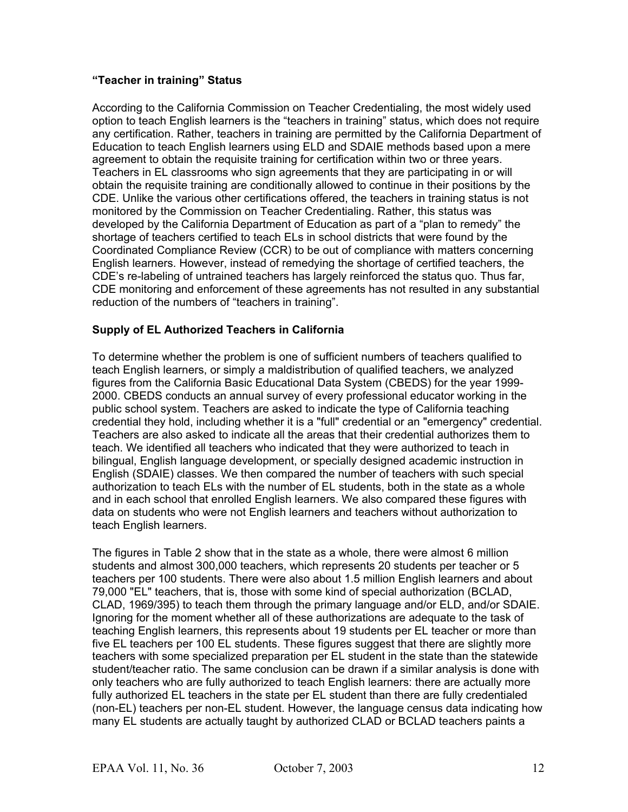#### **"Teacher in training" Status**

According to the California Commission on Teacher Credentialing, the most widely used option to teach English learners is the "teachers in training" status, which does not require any certification. Rather, teachers in training are permitted by the California Department of Education to teach English learners using ELD and SDAIE methods based upon a mere agreement to obtain the requisite training for certification within two or three years. Teachers in EL classrooms who sign agreements that they are participating in or will obtain the requisite training are conditionally allowed to continue in their positions by the CDE. Unlike the various other certifications offered, the teachers in training status is not monitored by the Commission on Teacher Credentialing. Rather, this status was developed by the California Department of Education as part of a "plan to remedy" the shortage of teachers certified to teach ELs in school districts that were found by the Coordinated Compliance Review (CCR) to be out of compliance with matters concerning English learners. However, instead of remedying the shortage of certified teachers, the CDE's re-labeling of untrained teachers has largely reinforced the status quo. Thus far, CDE monitoring and enforcement of these agreements has not resulted in any substantial reduction of the numbers of "teachers in training".

#### **Supply of EL Authorized Teachers in California**

To determine whether the problem is one of sufficient numbers of teachers qualified to teach English learners, or simply a maldistribution of qualified teachers, we analyzed figures from the California Basic Educational Data System (CBEDS) for the year 1999- 2000. CBEDS conducts an annual survey of every professional educator working in the public school system. Teachers are asked to indicate the type of California teaching credential they hold, including whether it is a "full" credential or an "emergency" credential. Teachers are also asked to indicate all the areas that their credential authorizes them to teach. We identified all teachers who indicated that they were authorized to teach in bilingual, English language development, or specially designed academic instruction in English (SDAIE) classes. We then compared the number of teachers with such special authorization to teach ELs with the number of EL students, both in the state as a whole and in each school that enrolled English learners. We also compared these figures with data on students who were not English learners and teachers without authorization to teach English learners.

The figures in Table 2 show that in the state as a whole, there were almost 6 million students and almost 300,000 teachers, which represents 20 students per teacher or 5 teachers per 100 students. There were also about 1.5 million English learners and about 79,000 "EL" teachers, that is, those with some kind of special authorization (BCLAD, CLAD, 1969/395) to teach them through the primary language and/or ELD, and/or SDAIE. Ignoring for the moment whether all of these authorizations are adequate to the task of teaching English learners, this represents about 19 students per EL teacher or more than five EL teachers per 100 EL students. These figures suggest that there are slightly more teachers with some specialized preparation per EL student in the state than the statewide student/teacher ratio. The same conclusion can be drawn if a similar analysis is done with only teachers who are fully authorized to teach English learners: there are actually more fully authorized EL teachers in the state per EL student than there are fully credentialed (non-EL) teachers per non-EL student. However, the language census data indicating how many EL students are actually taught by authorized CLAD or BCLAD teachers paints a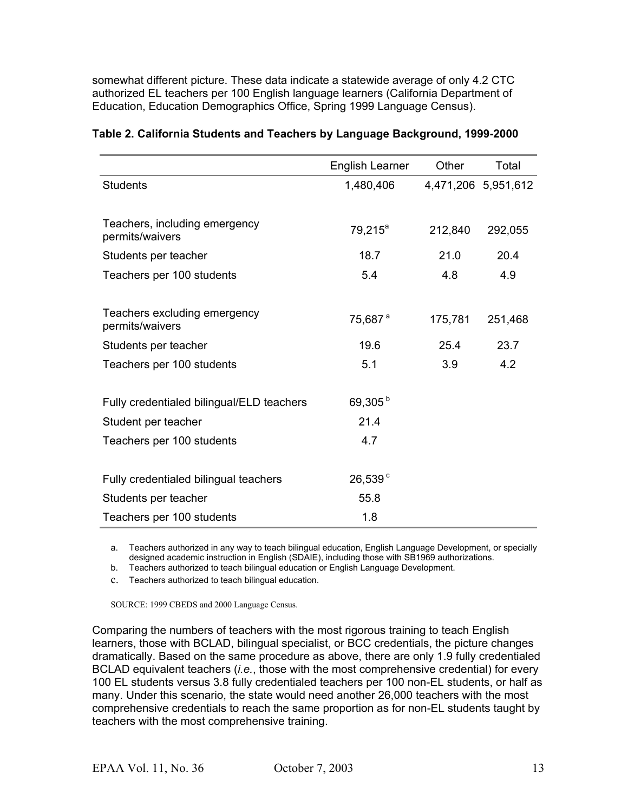somewhat different picture. These data indicate a statewide average of only 4.2 CTC authorized EL teachers per 100 English language learners (California Department of Education, Education Demographics Office, Spring 1999 Language Census).

|                                                  | <b>English Learner</b> | Other   | Total               |
|--------------------------------------------------|------------------------|---------|---------------------|
| Students                                         | 1,480,406              |         | 4,471,206 5,951,612 |
|                                                  |                        |         |                     |
| Teachers, including emergency<br>permits/waivers | $79,215^a$             | 212,840 | 292,055             |
| Students per teacher                             | 18.7                   | 21.0    | 20.4                |
| Teachers per 100 students                        | 5.4                    | 4.8     | 4.9                 |
|                                                  |                        |         |                     |
| Teachers excluding emergency<br>permits/waivers  | 75,687 <sup>a</sup>    | 175,781 | 251,468             |
| Students per teacher                             | 19.6                   | 25.4    | 23.7                |
| Teachers per 100 students                        | 5.1                    | 3.9     | 4.2                 |
|                                                  |                        |         |                     |
| Fully credentialed bilingual/ELD teachers        | 69,305 <sup>b</sup>    |         |                     |
| Student per teacher                              | 21.4                   |         |                     |
| Teachers per 100 students                        | 4.7                    |         |                     |
|                                                  |                        |         |                     |
| Fully credentialed bilingual teachers            | 26,539°                |         |                     |
| Students per teacher                             | 55.8                   |         |                     |
| Teachers per 100 students                        | 1.8                    |         |                     |

#### **Table 2. California Students and Teachers by Language Background, 1999-2000**

a. Teachers authorized in any way to teach bilingual education, English Language Development, or specially designed academic instruction in English (SDAIE), including those with SB1969 authorizations.

b. Teachers authorized to teach bilingual education or English Language Development.

c. Teachers authorized to teach bilingual education.

SOURCE: 1999 CBEDS and 2000 Language Census.

Comparing the numbers of teachers with the most rigorous training to teach English learners, those with BCLAD, bilingual specialist, or BCC credentials, the picture changes dramatically. Based on the same procedure as above, there are only 1.9 fully credentialed BCLAD equivalent teachers (*i.e.*, those with the most comprehensive credential) for every 100 EL students versus 3.8 fully credentialed teachers per 100 non-EL students, or half as many. Under this scenario, the state would need another 26,000 teachers with the most comprehensive credentials to reach the same proportion as for non-EL students taught by teachers with the most comprehensive training.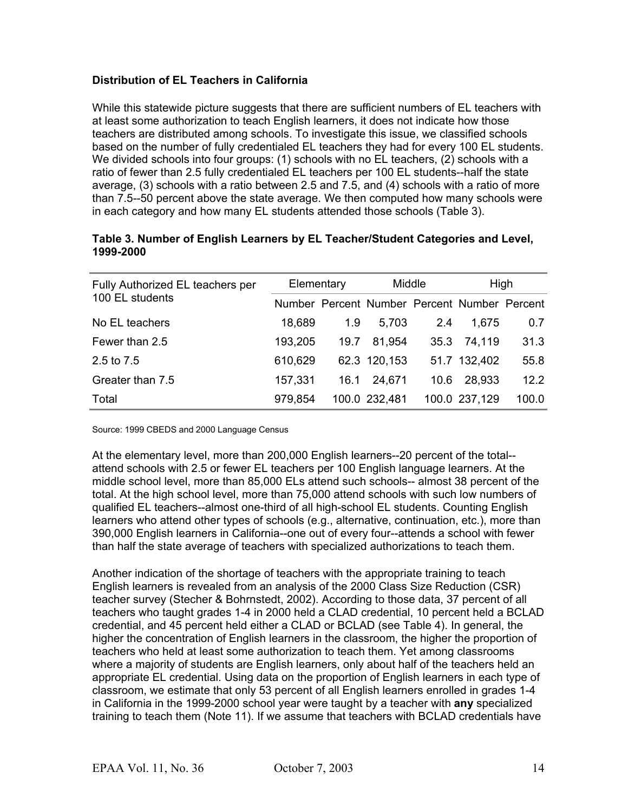#### **Distribution of EL Teachers in California**

While this statewide picture suggests that there are sufficient numbers of EL teachers with at least some authorization to teach English learners, it does not indicate how those teachers are distributed among schools. To investigate this issue, we classified schools based on the number of fully credentialed EL teachers they had for every 100 EL students. We divided schools into four groups: (1) schools with no EL teachers, (2) schools with a ratio of fewer than 2.5 fully credentialed EL teachers per 100 EL students--half the state average, (3) schools with a ratio between 2.5 and 7.5, and (4) schools with a ratio of more than 7.5--50 percent above the state average. We then computed how many schools were in each category and how many EL students attended those schools (Table 3).

| Fully Authorized EL teachers per | Elementary |      | Middle                                       |      | High          |       |
|----------------------------------|------------|------|----------------------------------------------|------|---------------|-------|
| 100 EL students                  |            |      | Number Percent Number Percent Number Percent |      |               |       |
| No EL teachers                   | 18,689     | 1.9  | 5,703                                        | 2.4  | 1,675         | 0.7   |
| Fewer than 2.5                   | 193,205    | 19.7 | 81,954                                       |      | 35.3 74,119   | 31.3  |
| 2.5 to 7.5                       | 610,629    |      | 62.3 120,153                                 |      | 51.7 132,402  | 55.8  |
| Greater than 7.5                 | 157,331    | 16.1 | 24,671                                       | 10.6 | 28,933        | 12.2  |
| Total                            | 979,854    |      | 100.0 232,481                                |      | 100.0 237,129 | 100.0 |

#### **Table 3. Number of English Learners by EL Teacher/Student Categories and Level, 1999-2000**

Source: 1999 CBEDS and 2000 Language Census

At the elementary level, more than 200,000 English learners--20 percent of the total- attend schools with 2.5 or fewer EL teachers per 100 English language learners. At the middle school level, more than 85,000 ELs attend such schools-- almost 38 percent of the total. At the high school level, more than 75,000 attend schools with such low numbers of qualified EL teachers--almost one-third of all high-school EL students. Counting English learners who attend other types of schools (e.g., alternative, continuation, etc.), more than 390,000 English learners in California--one out of every four--attends a school with fewer than half the state average of teachers with specialized authorizations to teach them.

Another indication of the shortage of teachers with the appropriate training to teach English learners is revealed from an analysis of the 2000 Class Size Reduction (CSR) teacher survey (Stecher & Bohrnstedt, 2002). According to those data, 37 percent of all teachers who taught grades 1-4 in 2000 held a CLAD credential, 10 percent held a BCLAD credential, and 45 percent held either a CLAD or BCLAD (see Table 4). In general, the higher the concentration of English learners in the classroom, the higher the proportion of teachers who held at least some authorization to teach them. Yet among classrooms where a majority of students are English learners, only about half of the teachers held an appropriate EL credential. Using data on the proportion of English learners in each type of classroom, we estimate that only 53 percent of all English learners enrolled in grades 1-4 in California in the 1999-2000 school year were taught by a teacher with **any** specialized training to teach them (Note 11). If we assume that teachers with BCLAD credentials have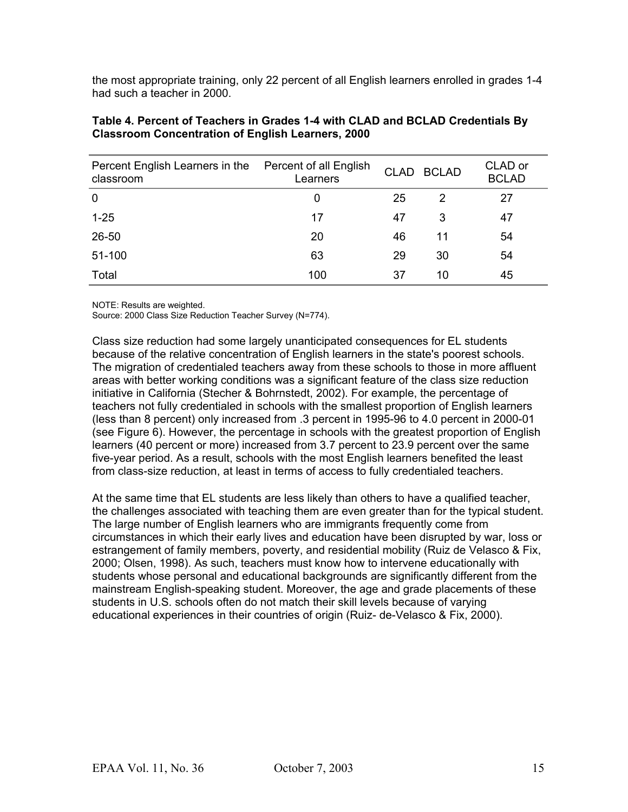the most appropriate training, only 22 percent of all English learners enrolled in grades 1-4 had such a teacher in 2000.

| Percent English Learners in the<br>classroom | Percent of all English<br>Learners | <b>CLAD</b> | <b>BCLAD</b> | CLAD or<br><b>BCLAD</b> |
|----------------------------------------------|------------------------------------|-------------|--------------|-------------------------|
| $\mathbf 0$                                  | 0                                  | 25          | 2            | 27                      |
| $1 - 25$                                     | 17                                 | 47          | 3            | 47                      |
| 26-50                                        | 20                                 | 46          | 11           | 54                      |
| 51-100                                       | 63                                 | 29          | 30           | 54                      |
| Total                                        | 100                                | 37          | 10           | 45                      |

#### **Table 4. Percent of Teachers in Grades 1-4 with CLAD and BCLAD Credentials By Classroom Concentration of English Learners, 2000**

NOTE: Results are weighted.

Source: 2000 Class Size Reduction Teacher Survey (N=774).

Class size reduction had some largely unanticipated consequences for EL students because of the relative concentration of English learners in the state's poorest schools. The migration of credentialed teachers away from these schools to those in more affluent areas with better working conditions was a significant feature of the class size reduction initiative in California (Stecher & Bohrnstedt, 2002). For example, the percentage of teachers not fully credentialed in schools with the smallest proportion of English learners (less than 8 percent) only increased from .3 percent in 1995-96 to 4.0 percent in 2000-01 (see Figure 6). However, the percentage in schools with the greatest proportion of English learners (40 percent or more) increased from 3.7 percent to 23.9 percent over the same five-year period. As a result, schools with the most English learners benefited the least from class-size reduction, at least in terms of access to fully credentialed teachers.

At the same time that EL students are less likely than others to have a qualified teacher, the challenges associated with teaching them are even greater than for the typical student. The large number of English learners who are immigrants frequently come from circumstances in which their early lives and education have been disrupted by war, loss or estrangement of family members, poverty, and residential mobility (Ruiz de Velasco & Fix, 2000; Olsen, 1998). As such, teachers must know how to intervene educationally with students whose personal and educational backgrounds are significantly different from the mainstream English-speaking student. Moreover, the age and grade placements of these students in U.S. schools often do not match their skill levels because of varying educational experiences in their countries of origin (Ruiz- de-Velasco & Fix, 2000).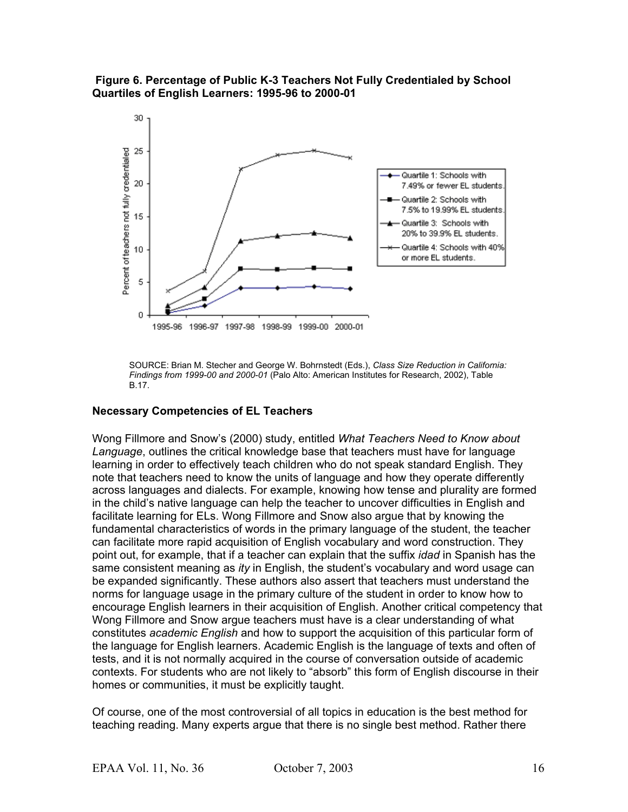



SOURCE: Brian M. Stecher and George W. Bohrnstedt (Eds.), *Class Size Reduction in California: Findings from 1999-00 and 2000-01* (Palo Alto: American Institutes for Research, 2002), Table B.17.

#### **Necessary Competencies of EL Teachers**

Wong Fillmore and Snow's (2000) study, entitled *What Teachers Need to Know about Language*, outlines the critical knowledge base that teachers must have for language learning in order to effectively teach children who do not speak standard English. They note that teachers need to know the units of language and how they operate differently across languages and dialects. For example, knowing how tense and plurality are formed in the child's native language can help the teacher to uncover difficulties in English and facilitate learning for ELs. Wong Fillmore and Snow also argue that by knowing the fundamental characteristics of words in the primary language of the student, the teacher can facilitate more rapid acquisition of English vocabulary and word construction. They point out, for example, that if a teacher can explain that the suffix *idad* in Spanish has the same consistent meaning as *ity* in English, the student's vocabulary and word usage can be expanded significantly. These authors also assert that teachers must understand the norms for language usage in the primary culture of the student in order to know how to encourage English learners in their acquisition of English. Another critical competency that Wong Fillmore and Snow argue teachers must have is a clear understanding of what constitutes *academic English* and how to support the acquisition of this particular form of the language for English learners. Academic English is the language of texts and often of tests, and it is not normally acquired in the course of conversation outside of academic contexts. For students who are not likely to "absorb" this form of English discourse in their homes or communities, it must be explicitly taught.

Of course, one of the most controversial of all topics in education is the best method for teaching reading. Many experts argue that there is no single best method. Rather there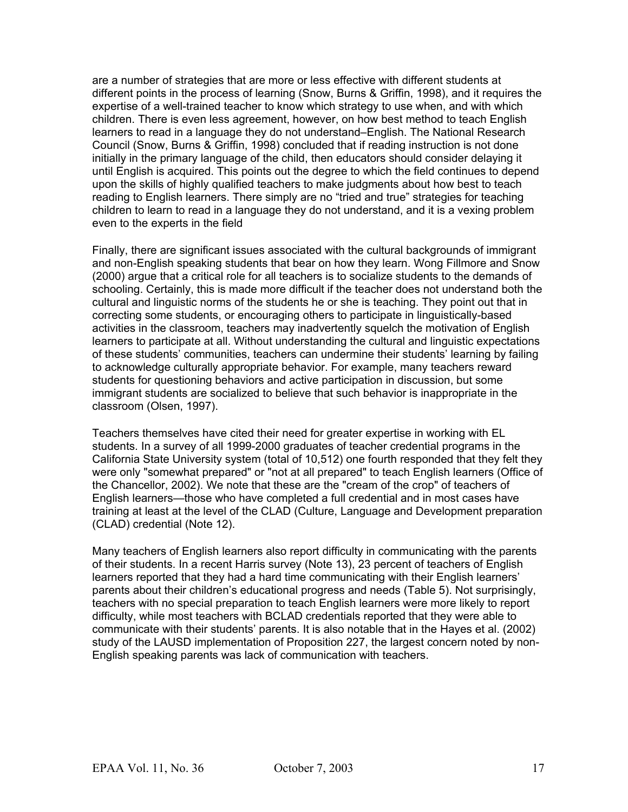are a number of strategies that are more or less effective with different students at different points in the process of learning (Snow, Burns & Griffin, 1998), and it requires the expertise of a well-trained teacher to know which strategy to use when, and with which children. There is even less agreement, however, on how best method to teach English learners to read in a language they do not understand–English. The National Research Council (Snow, Burns & Griffin, 1998) concluded that if reading instruction is not done initially in the primary language of the child, then educators should consider delaying it until English is acquired. This points out the degree to which the field continues to depend upon the skills of highly qualified teachers to make judgments about how best to teach reading to English learners. There simply are no "tried and true" strategies for teaching children to learn to read in a language they do not understand, and it is a vexing problem even to the experts in the field

Finally, there are significant issues associated with the cultural backgrounds of immigrant and non-English speaking students that bear on how they learn. Wong Fillmore and Snow (2000) argue that a critical role for all teachers is to socialize students to the demands of schooling. Certainly, this is made more difficult if the teacher does not understand both the cultural and linguistic norms of the students he or she is teaching. They point out that in correcting some students, or encouraging others to participate in linguistically-based activities in the classroom, teachers may inadvertently squelch the motivation of English learners to participate at all. Without understanding the cultural and linguistic expectations of these students' communities, teachers can undermine their students' learning by failing to acknowledge culturally appropriate behavior. For example, many teachers reward students for questioning behaviors and active participation in discussion, but some immigrant students are socialized to believe that such behavior is inappropriate in the classroom (Olsen, 1997).

Teachers themselves have cited their need for greater expertise in working with EL students. In a survey of all 1999-2000 graduates of teacher credential programs in the California State University system (total of 10,512) one fourth responded that they felt they were only "somewhat prepared" or "not at all prepared" to teach English learners (Office of the Chancellor, 2002). We note that these are the "cream of the crop" of teachers of English learners—those who have completed a full credential and in most cases have training at least at the level of the CLAD (Culture, Language and Development preparation (CLAD) credential (Note 12).

Many teachers of English learners also report difficulty in communicating with the parents of their students. In a recent Harris survey (Note 13), 23 percent of teachers of English learners reported that they had a hard time communicating with their English learners' parents about their children's educational progress and needs (Table 5). Not surprisingly, teachers with no special preparation to teach English learners were more likely to report difficulty, while most teachers with BCLAD credentials reported that they were able to communicate with their students' parents. It is also notable that in the Hayes et al. (2002) study of the LAUSD implementation of Proposition 227, the largest concern noted by non-English speaking parents was lack of communication with teachers.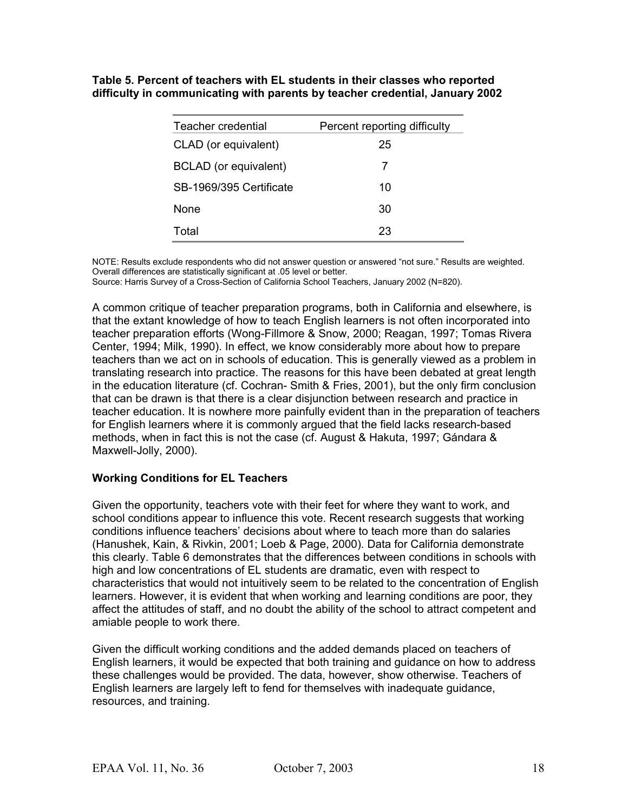**Table 5. Percent of teachers with EL students in their classes who reported difficulty in communicating with parents by teacher credential, January 2002**

| Teacher credential      | Percent reporting difficulty |
|-------------------------|------------------------------|
| CLAD (or equivalent)    | 25                           |
| BCLAD (or equivalent)   | 7                            |
| SB-1969/395 Certificate | 10                           |
| <b>None</b>             | 30                           |
| Total                   | 23                           |

NOTE: Results exclude respondents who did not answer question or answered "not sure." Results are weighted. Overall differences are statistically significant at .05 level or better.

Source: Harris Survey of a Cross-Section of California School Teachers, January 2002 (N=820).

A common critique of teacher preparation programs, both in California and elsewhere, is that the extant knowledge of how to teach English learners is not often incorporated into teacher preparation efforts (Wong-Fillmore & Snow, 2000; Reagan, 1997; Tomas Rivera Center, 1994; Milk, 1990). In effect, we know considerably more about how to prepare teachers than we act on in schools of education. This is generally viewed as a problem in translating research into practice. The reasons for this have been debated at great length in the education literature (cf. Cochran- Smith & Fries, 2001), but the only firm conclusion that can be drawn is that there is a clear disjunction between research and practice in teacher education. It is nowhere more painfully evident than in the preparation of teachers for English learners where it is commonly argued that the field lacks research-based methods, when in fact this is not the case (cf. August & Hakuta, 1997; Gándara & Maxwell-Jolly, 2000).

#### **Working Conditions for EL Teachers**

Given the opportunity, teachers vote with their feet for where they want to work, and school conditions appear to influence this vote. Recent research suggests that working conditions influence teachers' decisions about where to teach more than do salaries (Hanushek, Kain, & Rivkin, 2001; Loeb & Page, 2000). Data for California demonstrate this clearly. Table 6 demonstrates that the differences between conditions in schools with high and low concentrations of EL students are dramatic, even with respect to characteristics that would not intuitively seem to be related to the concentration of English learners. However, it is evident that when working and learning conditions are poor, they affect the attitudes of staff, and no doubt the ability of the school to attract competent and amiable people to work there.

Given the difficult working conditions and the added demands placed on teachers of English learners, it would be expected that both training and guidance on how to address these challenges would be provided. The data, however, show otherwise. Teachers of English learners are largely left to fend for themselves with inadequate guidance, resources, and training.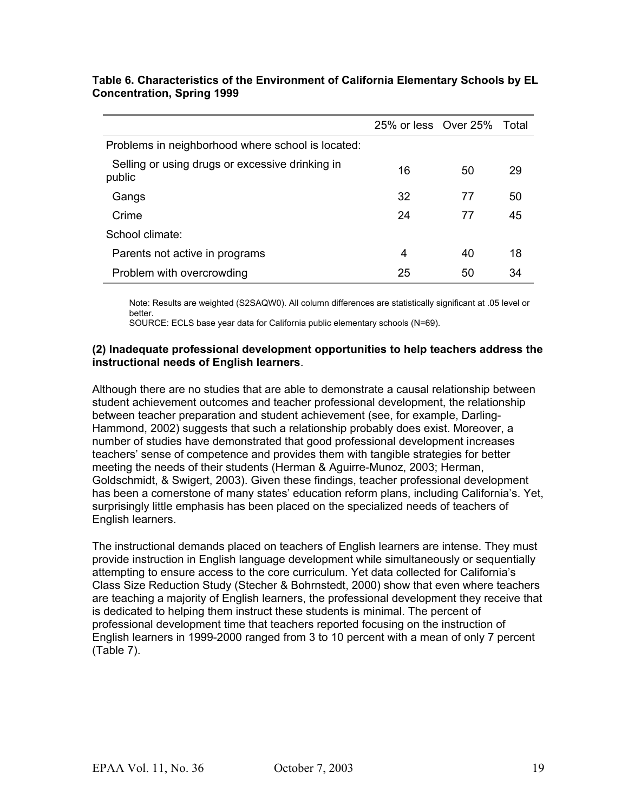|                                                           | 25% or less Over 25% Total |    |    |
|-----------------------------------------------------------|----------------------------|----|----|
| Problems in neighborhood where school is located:         |                            |    |    |
| Selling or using drugs or excessive drinking in<br>public | 16                         | 50 | 29 |
| Gangs                                                     | 32                         | 77 | 50 |
| Crime                                                     | 24                         | 77 | 45 |
| School climate:                                           |                            |    |    |
| Parents not active in programs                            | 4                          | 40 | 18 |
| Problem with overcrowding                                 | 25                         | 50 | 34 |

#### **Table 6. Characteristics of the Environment of California Elementary Schools by EL Concentration, Spring 1999**

Note: Results are weighted (S2SAQW0). All column differences are statistically significant at .05 level or better.

SOURCE: ECLS base year data for California public elementary schools (N=69).

#### **(2) Inadequate professional development opportunities to help teachers address the instructional needs of English learners**.

Although there are no studies that are able to demonstrate a causal relationship between student achievement outcomes and teacher professional development, the relationship between teacher preparation and student achievement (see, for example, Darling-Hammond, 2002) suggests that such a relationship probably does exist. Moreover, a number of studies have demonstrated that good professional development increases teachers' sense of competence and provides them with tangible strategies for better meeting the needs of their students (Herman & Aguirre-Munoz, 2003; Herman, Goldschmidt, & Swigert, 2003). Given these findings, teacher professional development has been a cornerstone of many states' education reform plans, including California's. Yet, surprisingly little emphasis has been placed on the specialized needs of teachers of English learners.

The instructional demands placed on teachers of English learners are intense. They must provide instruction in English language development while simultaneously or sequentially attempting to ensure access to the core curriculum. Yet data collected for California's Class Size Reduction Study (Stecher & Bohrnstedt, 2000) show that even where teachers are teaching a majority of English learners, the professional development they receive that is dedicated to helping them instruct these students is minimal. The percent of professional development time that teachers reported focusing on the instruction of English learners in 1999-2000 ranged from 3 to 10 percent with a mean of only 7 percent (Table 7).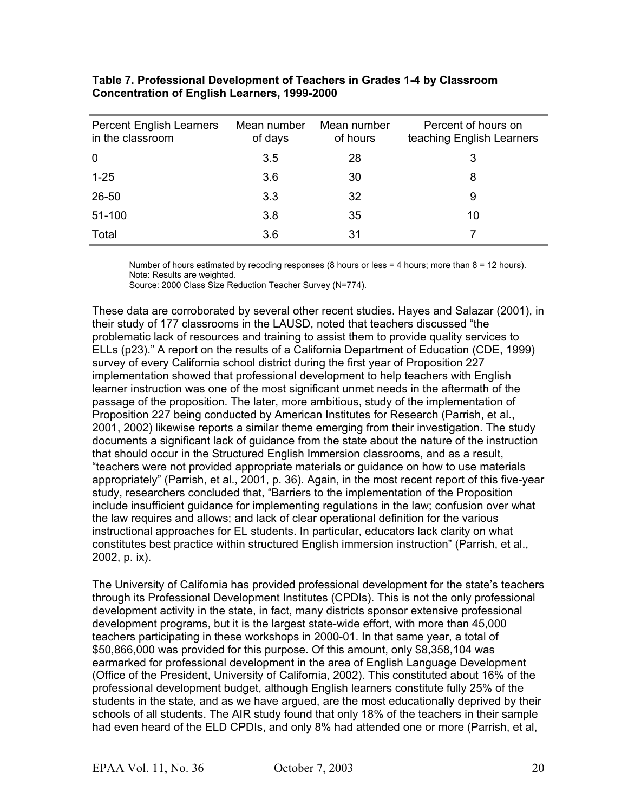| <b>Percent English Learners</b><br>in the classroom | Mean number<br>of days | Mean number<br>of hours | Percent of hours on<br>teaching English Learners |
|-----------------------------------------------------|------------------------|-------------------------|--------------------------------------------------|
| 0                                                   | 3.5                    | 28                      | 3                                                |
| $1 - 25$                                            | 3.6                    | 30                      | 8                                                |
| 26-50                                               | 3.3                    | 32                      | 9                                                |
| 51-100                                              | 3.8                    | 35                      | 10                                               |
| Total                                               | 3.6                    | 31                      |                                                  |

#### **Table 7. Professional Development of Teachers in Grades 1-4 by Classroom Concentration of English Learners, 1999-2000**

Number of hours estimated by recoding responses (8 hours or less = 4 hours; more than 8 = 12 hours). Note: Results are weighted.

Source: 2000 Class Size Reduction Teacher Survey (N=774).

These data are corroborated by several other recent studies. Hayes and Salazar (2001), in their study of 177 classrooms in the LAUSD, noted that teachers discussed "the problematic lack of resources and training to assist them to provide quality services to ELLs (p23)." A report on the results of a California Department of Education (CDE, 1999) survey of every California school district during the first year of Proposition 227 implementation showed that professional development to help teachers with English learner instruction was one of the most significant unmet needs in the aftermath of the passage of the proposition. The later, more ambitious, study of the implementation of Proposition 227 being conducted by American Institutes for Research (Parrish, et al., 2001, 2002) likewise reports a similar theme emerging from their investigation. The study documents a significant lack of guidance from the state about the nature of the instruction that should occur in the Structured English Immersion classrooms, and as a result, "teachers were not provided appropriate materials or guidance on how to use materials appropriately" (Parrish, et al., 2001, p. 36). Again, in the most recent report of this five-year study, researchers concluded that, "Barriers to the implementation of the Proposition include insufficient guidance for implementing regulations in the law; confusion over what the law requires and allows; and lack of clear operational definition for the various instructional approaches for EL students. In particular, educators lack clarity on what constitutes best practice within structured English immersion instruction" (Parrish, et al., 2002, p. ix).

The University of California has provided professional development for the state's teachers through its Professional Development Institutes (CPDIs). This is not the only professional development activity in the state, in fact, many districts sponsor extensive professional development programs, but it is the largest state-wide effort, with more than 45,000 teachers participating in these workshops in 2000-01. In that same year, a total of \$50,866,000 was provided for this purpose. Of this amount, only \$8,358,104 was earmarked for professional development in the area of English Language Development (Office of the President, University of California, 2002). This constituted about 16% of the professional development budget, although English learners constitute fully 25% of the students in the state, and as we have argued, are the most educationally deprived by their schools of all students. The AIR study found that only 18% of the teachers in their sample had even heard of the ELD CPDIs, and only 8% had attended one or more (Parrish, et al,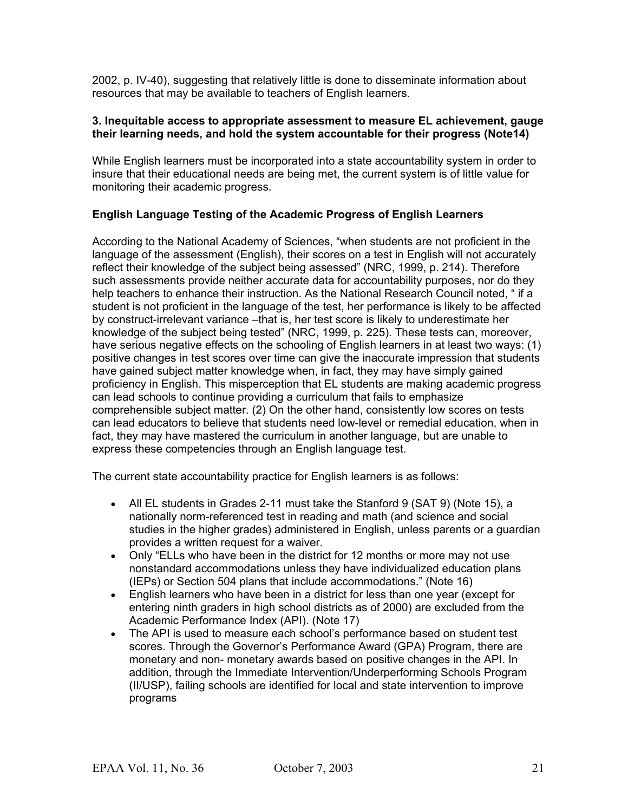2002, p. IV-40), suggesting that relatively little is done to disseminate information about resources that may be available to teachers of English learners.

#### **3. Inequitable access to appropriate assessment to measure EL achievement, gauge their learning needs, and hold the system accountable for their progress (Note14)**

While English learners must be incorporated into a state accountability system in order to insure that their educational needs are being met, the current system is of little value for monitoring their academic progress.

#### **English Language Testing of the Academic Progress of English Learners**

According to the National Academy of Sciences, "when students are not proficient in the language of the assessment (English), their scores on a test in English will not accurately reflect their knowledge of the subject being assessed" (NRC, 1999, p. 214). Therefore such assessments provide neither accurate data for accountability purposes, nor do they help teachers to enhance their instruction. As the National Research Council noted, " if a student is not proficient in the language of the test, her performance is likely to be affected by construct-irrelevant variance –that is, her test score is likely to underestimate her knowledge of the subject being tested" (NRC, 1999, p. 225). These tests can, moreover, have serious negative effects on the schooling of English learners in at least two ways: (1) positive changes in test scores over time can give the inaccurate impression that students have gained subject matter knowledge when, in fact, they may have simply gained proficiency in English. This misperception that EL students are making academic progress can lead schools to continue providing a curriculum that fails to emphasize comprehensible subject matter. (2) On the other hand, consistently low scores on tests can lead educators to believe that students need low-level or remedial education, when in fact, they may have mastered the curriculum in another language, but are unable to express these competencies through an English language test.

The current state accountability practice for English learners is as follows:

- All EL students in Grades 2-11 must take the Stanford 9 (SAT 9) (Note 15), a nationally norm-referenced test in reading and math (and science and social studies in the higher grades) administered in English, unless parents or a guardian provides a written request for a waiver.
- Only "ELLs who have been in the district for 12 months or more may not use nonstandard accommodations unless they have individualized education plans (IEPs) or Section 504 plans that include accommodations." (Note 16)
- English learners who have been in a district for less than one year (except for entering ninth graders in high school districts as of 2000) are excluded from the Academic Performance Index (API). (Note 17)
- The API is used to measure each school's performance based on student test scores. Through the Governor's Performance Award (GPA) Program, there are monetary and non- monetary awards based on positive changes in the API. In addition, through the Immediate Intervention/Underperforming Schools Program (II/USP), failing schools are identified for local and state intervention to improve programs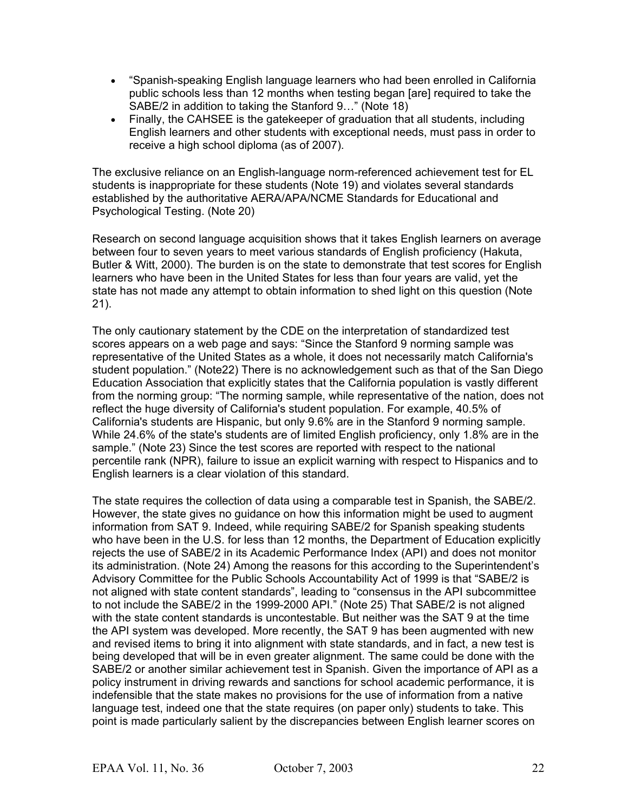- "Spanish-speaking English language learners who had been enrolled in California public schools less than 12 months when testing began [are] required to take the SABE/2 in addition to taking the Stanford 9…" (Note 18)
- Finally, the CAHSEE is the gatekeeper of graduation that all students, including English learners and other students with exceptional needs, must pass in order to receive a high school diploma (as of 2007).

The exclusive reliance on an English-language norm-referenced achievement test for EL students is inappropriate for these students (Note 19) and violates several standards established by the authoritative AERA/APA/NCME Standards for Educational and Psychological Testing. (Note 20)

Research on second language acquisition shows that it takes English learners on average between four to seven years to meet various standards of English proficiency (Hakuta, Butler & Witt, 2000). The burden is on the state to demonstrate that test scores for English learners who have been in the United States for less than four years are valid, yet the state has not made any attempt to obtain information to shed light on this question (Note 21).

The only cautionary statement by the CDE on the interpretation of standardized test scores appears on a web page and says: "Since the Stanford 9 norming sample was representative of the United States as a whole, it does not necessarily match California's student population." (Note22) There is no acknowledgement such as that of the San Diego Education Association that explicitly states that the California population is vastly different from the norming group: "The norming sample, while representative of the nation, does not reflect the huge diversity of California's student population. For example, 40.5% of California's students are Hispanic, but only 9.6% are in the Stanford 9 norming sample. While 24.6% of the state's students are of limited English proficiency, only 1.8% are in the sample." (Note 23) Since the test scores are reported with respect to the national percentile rank (NPR), failure to issue an explicit warning with respect to Hispanics and to English learners is a clear violation of this standard.

The state requires the collection of data using a comparable test in Spanish, the SABE/2. However, the state gives no guidance on how this information might be used to augment information from SAT 9. Indeed, while requiring SABE/2 for Spanish speaking students who have been in the U.S. for less than 12 months, the Department of Education explicitly rejects the use of SABE/2 in its Academic Performance Index (API) and does not monitor its administration. (Note 24) Among the reasons for this according to the Superintendent's Advisory Committee for the Public Schools Accountability Act of 1999 is that "SABE/2 is not aligned with state content standards", leading to "consensus in the API subcommittee to not include the SABE/2 in the 1999-2000 API." (Note 25) That SABE/2 is not aligned with the state content standards is uncontestable. But neither was the SAT 9 at the time the API system was developed. More recently, the SAT 9 has been augmented with new and revised items to bring it into alignment with state standards, and in fact, a new test is being developed that will be in even greater alignment. The same could be done with the SABE/2 or another similar achievement test in Spanish. Given the importance of API as a policy instrument in driving rewards and sanctions for school academic performance, it is indefensible that the state makes no provisions for the use of information from a native language test, indeed one that the state requires (on paper only) students to take. This point is made particularly salient by the discrepancies between English learner scores on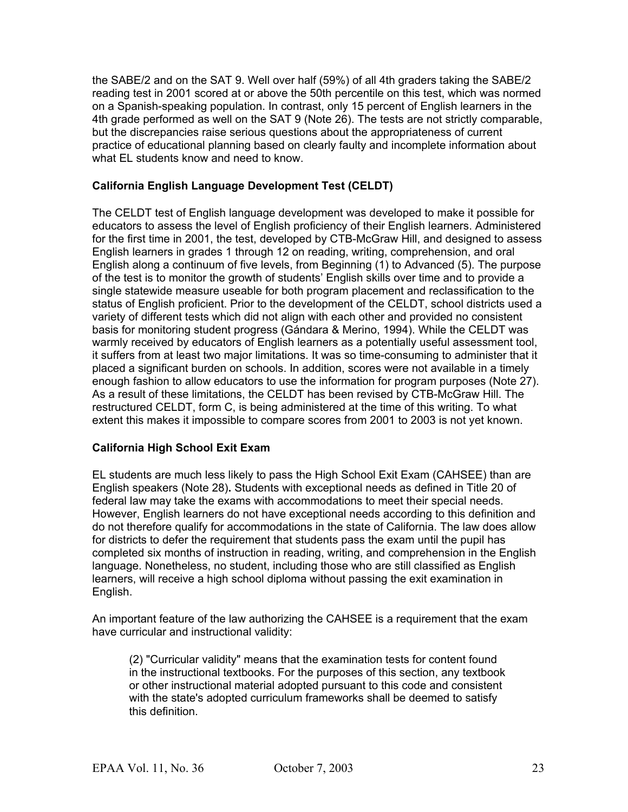the SABE/2 and on the SAT 9. Well over half (59%) of all 4th graders taking the SABE/2 reading test in 2001 scored at or above the 50th percentile on this test, which was normed on a Spanish-speaking population. In contrast, only 15 percent of English learners in the 4th grade performed as well on the SAT 9 (Note 26). The tests are not strictly comparable, but the discrepancies raise serious questions about the appropriateness of current practice of educational planning based on clearly faulty and incomplete information about what EL students know and need to know.

#### **California English Language Development Test (CELDT)**

The CELDT test of English language development was developed to make it possible for educators to assess the level of English proficiency of their English learners. Administered for the first time in 2001, the test, developed by CTB-McGraw Hill, and designed to assess English learners in grades 1 through 12 on reading, writing, comprehension, and oral English along a continuum of five levels, from Beginning (1) to Advanced (5). The purpose of the test is to monitor the growth of students' English skills over time and to provide a single statewide measure useable for both program placement and reclassification to the status of English proficient. Prior to the development of the CELDT, school districts used a variety of different tests which did not align with each other and provided no consistent basis for monitoring student progress (Gándara & Merino, 1994). While the CELDT was warmly received by educators of English learners as a potentially useful assessment tool, it suffers from at least two major limitations. It was so time-consuming to administer that it placed a significant burden on schools. In addition, scores were not available in a timely enough fashion to allow educators to use the information for program purposes (Note 27). As a result of these limitations, the CELDT has been revised by CTB-McGraw Hill. The restructured CELDT, form C, is being administered at the time of this writing. To what extent this makes it impossible to compare scores from 2001 to 2003 is not yet known.

#### **California High School Exit Exam**

EL students are much less likely to pass the High School Exit Exam (CAHSEE) than are English speakers (Note 28)**.** Students with exceptional needs as defined in Title 20 of federal law may take the exams with accommodations to meet their special needs. However, English learners do not have exceptional needs according to this definition and do not therefore qualify for accommodations in the state of California. The law does allow for districts to defer the requirement that students pass the exam until the pupil has completed six months of instruction in reading, writing, and comprehension in the English language. Nonetheless, no student, including those who are still classified as English learners, will receive a high school diploma without passing the exit examination in English.

An important feature of the law authorizing the CAHSEE is a requirement that the exam have curricular and instructional validity:

(2) "Curricular validity" means that the examination tests for content found in the instructional textbooks. For the purposes of this section, any textbook or other instructional material adopted pursuant to this code and consistent with the state's adopted curriculum frameworks shall be deemed to satisfy this definition.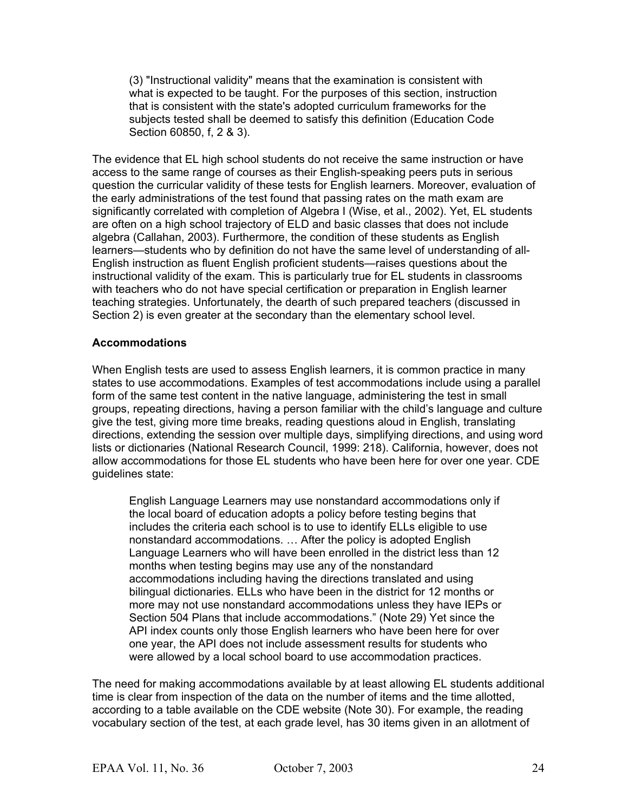(3) "Instructional validity" means that the examination is consistent with what is expected to be taught. For the purposes of this section, instruction that is consistent with the state's adopted curriculum frameworks for the subjects tested shall be deemed to satisfy this definition (Education Code Section 60850, f, 2 & 3).

The evidence that EL high school students do not receive the same instruction or have access to the same range of courses as their English-speaking peers puts in serious question the curricular validity of these tests for English learners. Moreover, evaluation of the early administrations of the test found that passing rates on the math exam are significantly correlated with completion of Algebra I (Wise, et al., 2002). Yet, EL students are often on a high school trajectory of ELD and basic classes that does not include algebra (Callahan, 2003). Furthermore, the condition of these students as English learners—students who by definition do not have the same level of understanding of all-English instruction as fluent English proficient students—raises questions about the instructional validity of the exam. This is particularly true for EL students in classrooms with teachers who do not have special certification or preparation in English learner teaching strategies. Unfortunately, the dearth of such prepared teachers (discussed in Section 2) is even greater at the secondary than the elementary school level.

#### **Accommodations**

When English tests are used to assess English learners, it is common practice in many states to use accommodations. Examples of test accommodations include using a parallel form of the same test content in the native language, administering the test in small groups, repeating directions, having a person familiar with the child's language and culture give the test, giving more time breaks, reading questions aloud in English, translating directions, extending the session over multiple days, simplifying directions, and using word lists or dictionaries (National Research Council, 1999: 218). California, however, does not allow accommodations for those EL students who have been here for over one year. CDE guidelines state:

English Language Learners may use nonstandard accommodations only if the local board of education adopts a policy before testing begins that includes the criteria each school is to use to identify ELLs eligible to use nonstandard accommodations. … After the policy is adopted English Language Learners who will have been enrolled in the district less than 12 months when testing begins may use any of the nonstandard accommodations including having the directions translated and using bilingual dictionaries. ELLs who have been in the district for 12 months or more may not use nonstandard accommodations unless they have IEPs or Section 504 Plans that include accommodations." (Note 29) Yet since the API index counts only those English learners who have been here for over one year, the API does not include assessment results for students who were allowed by a local school board to use accommodation practices.

The need for making accommodations available by at least allowing EL students additional time is clear from inspection of the data on the number of items and the time allotted, according to a table available on the CDE website (Note 30). For example, the reading vocabulary section of the test, at each grade level, has 30 items given in an allotment of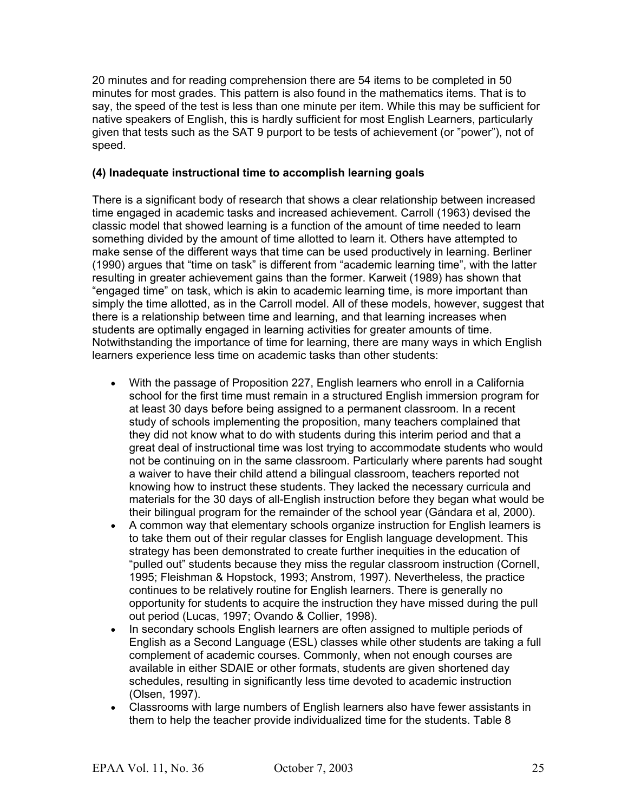20 minutes and for reading comprehension there are 54 items to be completed in 50 minutes for most grades. This pattern is also found in the mathematics items. That is to say, the speed of the test is less than one minute per item. While this may be sufficient for native speakers of English, this is hardly sufficient for most English Learners, particularly given that tests such as the SAT 9 purport to be tests of achievement (or "power"), not of speed.

#### **(4) Inadequate instructional time to accomplish learning goals**

There is a significant body of research that shows a clear relationship between increased time engaged in academic tasks and increased achievement. Carroll (1963) devised the classic model that showed learning is a function of the amount of time needed to learn something divided by the amount of time allotted to learn it. Others have attempted to make sense of the different ways that time can be used productively in learning. Berliner (1990) argues that "time on task" is different from "academic learning time", with the latter resulting in greater achievement gains than the former. Karweit (1989) has shown that "engaged time" on task, which is akin to academic learning time, is more important than simply the time allotted, as in the Carroll model. All of these models, however, suggest that there is a relationship between time and learning, and that learning increases when students are optimally engaged in learning activities for greater amounts of time. Notwithstanding the importance of time for learning, there are many ways in which English learners experience less time on academic tasks than other students:

- With the passage of Proposition 227, English learners who enroll in a California school for the first time must remain in a structured English immersion program for at least 30 days before being assigned to a permanent classroom. In a recent study of schools implementing the proposition, many teachers complained that they did not know what to do with students during this interim period and that a great deal of instructional time was lost trying to accommodate students who would not be continuing on in the same classroom. Particularly where parents had sought a waiver to have their child attend a bilingual classroom, teachers reported not knowing how to instruct these students. They lacked the necessary curricula and materials for the 30 days of all-English instruction before they began what would be their bilingual program for the remainder of the school year (Gándara et al, 2000).
- A common way that elementary schools organize instruction for English learners is to take them out of their regular classes for English language development. This strategy has been demonstrated to create further inequities in the education of "pulled out" students because they miss the regular classroom instruction (Cornell, 1995; Fleishman & Hopstock, 1993; Anstrom, 1997). Nevertheless, the practice continues to be relatively routine for English learners. There is generally no opportunity for students to acquire the instruction they have missed during the pull out period (Lucas, 1997; Ovando & Collier, 1998).
- In secondary schools English learners are often assigned to multiple periods of English as a Second Language (ESL) classes while other students are taking a full complement of academic courses. Commonly, when not enough courses are available in either SDAIE or other formats, students are given shortened day schedules, resulting in significantly less time devoted to academic instruction (Olsen, 1997).
- Classrooms with large numbers of English learners also have fewer assistants in them to help the teacher provide individualized time for the students. Table 8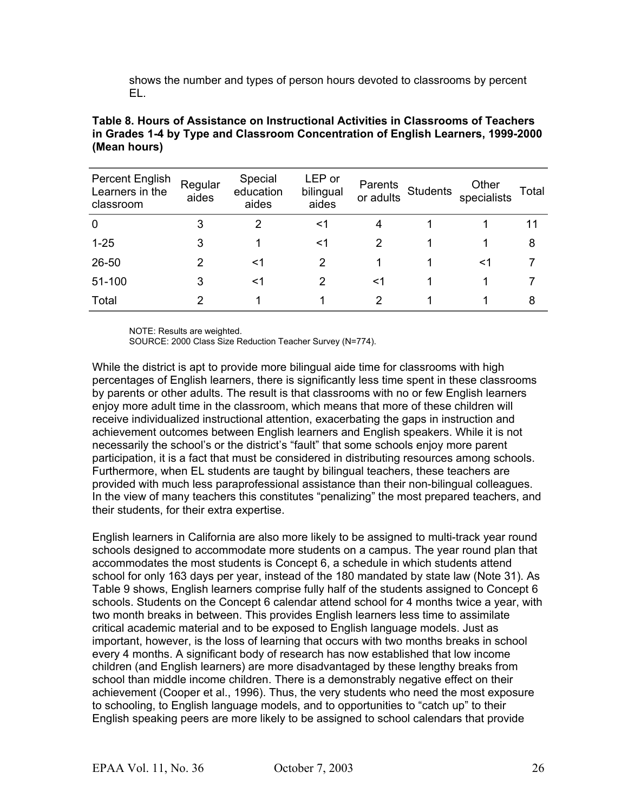shows the number and types of person hours devoted to classrooms by percent EL.

| <b>Percent English</b><br>Learners in the<br>classroom | Regular<br>aides | Special<br>education<br>aides | LEP or<br>bilingual<br>aides | Parents<br>or adults | <b>Students</b> | Other<br>specialists | Total |
|--------------------------------------------------------|------------------|-------------------------------|------------------------------|----------------------|-----------------|----------------------|-------|
| $\overline{0}$                                         | 3                | 2                             | <1                           | 4                    |                 |                      | 11    |
| $1 - 25$                                               | 3                |                               | <1                           | 2                    |                 |                      | 8     |
| 26-50                                                  | 2                | <1                            | 2                            |                      |                 | <1                   |       |
| 51-100                                                 | 3                | <1                            | 2                            | <1                   |                 |                      |       |
| Total                                                  | 2                |                               |                              | 2                    |                 |                      | 8     |

#### **Table 8. Hours of Assistance on Instructional Activities in Classrooms of Teachers in Grades 1-4 by Type and Classroom Concentration of English Learners, 1999-2000 (Mean hours)**

NOTE: Results are weighted.

SOURCE: 2000 Class Size Reduction Teacher Survey (N=774).

While the district is apt to provide more bilingual aide time for classrooms with high percentages of English learners, there is significantly less time spent in these classrooms by parents or other adults. The result is that classrooms with no or few English learners enjoy more adult time in the classroom, which means that more of these children will receive individualized instructional attention, exacerbating the gaps in instruction and achievement outcomes between English learners and English speakers. While it is not necessarily the school's or the district's "fault" that some schools enjoy more parent participation, it is a fact that must be considered in distributing resources among schools. Furthermore, when EL students are taught by bilingual teachers, these teachers are provided with much less paraprofessional assistance than their non-bilingual colleagues. In the view of many teachers this constitutes "penalizing" the most prepared teachers, and their students, for their extra expertise.

English learners in California are also more likely to be assigned to multi-track year round schools designed to accommodate more students on a campus. The year round plan that accommodates the most students is Concept 6, a schedule in which students attend school for only 163 days per year, instead of the 180 mandated by state law (Note 31). As Table 9 shows, English learners comprise fully half of the students assigned to Concept 6 schools. Students on the Concept 6 calendar attend school for 4 months twice a year, with two month breaks in between. This provides English learners less time to assimilate critical academic material and to be exposed to English language models. Just as important, however, is the loss of learning that occurs with two months breaks in school every 4 months. A significant body of research has now established that low income children (and English learners) are more disadvantaged by these lengthy breaks from school than middle income children. There is a demonstrably negative effect on their achievement (Cooper et al., 1996). Thus, the very students who need the most exposure to schooling, to English language models, and to opportunities to "catch up" to their English speaking peers are more likely to be assigned to school calendars that provide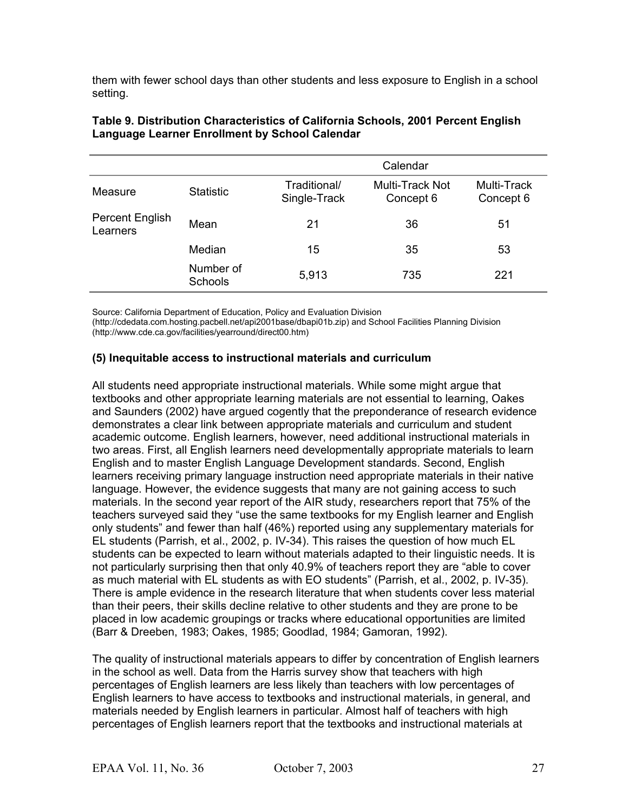them with fewer school days than other students and less exposure to English in a school setting.

|                             |                      |                              | Calendar                     |                          |
|-----------------------------|----------------------|------------------------------|------------------------------|--------------------------|
| Measure                     | <b>Statistic</b>     | Traditional/<br>Single-Track | Multi-Track Not<br>Concept 6 | Multi-Track<br>Concept 6 |
| Percent English<br>Learners | Mean                 | 21                           | 36                           | 51                       |
|                             | Median               | 15                           | 35                           | 53                       |
|                             | Number of<br>Schools | 5,913                        | 735                          | 221                      |

#### **Table 9. Distribution Characteristics of California Schools, 2001 Percent English Language Learner Enrollment by School Calendar**

Source: California Department of Education, Policy and Evaluation Division

(http://cdedata.com.hosting.pacbell.net/api2001base/dbapi01b.zip) and School Facilities Planning Division (http://www.cde.ca.gov/facilities/yearround/direct00.htm)

#### **(5) Inequitable access to instructional materials and curriculum**

All students need appropriate instructional materials. While some might argue that textbooks and other appropriate learning materials are not essential to learning, Oakes and Saunders (2002) have argued cogently that the preponderance of research evidence demonstrates a clear link between appropriate materials and curriculum and student academic outcome. English learners, however, need additional instructional materials in two areas. First, all English learners need developmentally appropriate materials to learn English and to master English Language Development standards. Second, English learners receiving primary language instruction need appropriate materials in their native language. However, the evidence suggests that many are not gaining access to such materials. In the second year report of the AIR study, researchers report that 75% of the teachers surveyed said they "use the same textbooks for my English learner and English only students" and fewer than half (46%) reported using any supplementary materials for EL students (Parrish, et al., 2002, p. IV-34). This raises the question of how much EL students can be expected to learn without materials adapted to their linguistic needs. It is not particularly surprising then that only 40.9% of teachers report they are "able to cover as much material with EL students as with EO students" (Parrish, et al., 2002, p. IV-35). There is ample evidence in the research literature that when students cover less material than their peers, their skills decline relative to other students and they are prone to be placed in low academic groupings or tracks where educational opportunities are limited (Barr & Dreeben, 1983; Oakes, 1985; Goodlad, 1984; Gamoran, 1992).

The quality of instructional materials appears to differ by concentration of English learners in the school as well. Data from the Harris survey show that teachers with high percentages of English learners are less likely than teachers with low percentages of English learners to have access to textbooks and instructional materials, in general, and materials needed by English learners in particular. Almost half of teachers with high percentages of English learners report that the textbooks and instructional materials at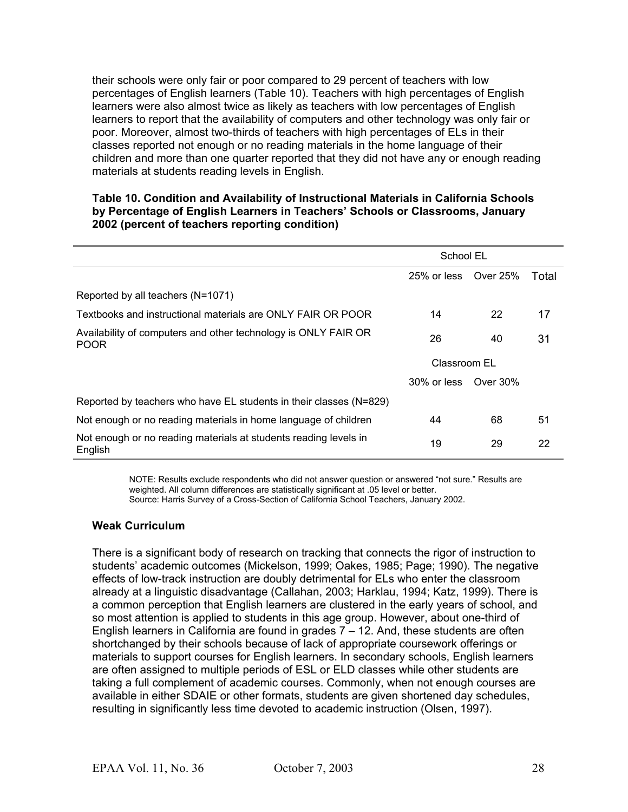their schools were only fair or poor compared to 29 percent of teachers with low percentages of English learners (Table 10). Teachers with high percentages of English learners were also almost twice as likely as teachers with low percentages of English learners to report that the availability of computers and other technology was only fair or poor. Moreover, almost two-thirds of teachers with high percentages of ELs in their classes reported not enough or no reading materials in the home language of their children and more than one quarter reported that they did not have any or enough reading materials at students reading levels in English.

#### **Table 10. Condition and Availability of Instructional Materials in California Schools by Percentage of English Learners in Teachers' Schools or Classrooms, January 2002 (percent of teachers reporting condition)**

|                                                                               | School EL    |          |       |
|-------------------------------------------------------------------------------|--------------|----------|-------|
|                                                                               | 25% or less  | Over 25% | Total |
| Reported by all teachers (N=1071)                                             |              |          |       |
| Textbooks and instructional materials are ONLY FAIR OR POOR                   | 14           | 22       | 17    |
| Availability of computers and other technology is ONLY FAIR OR<br><b>POOR</b> | 26           | 40       | 31    |
|                                                                               | Classroom EL |          |       |
|                                                                               | 30% or less  | Over 30% |       |
| Reported by teachers who have EL students in their classes (N=829)            |              |          |       |
| Not enough or no reading materials in home language of children               | 44           | 68       | 51    |
| Not enough or no reading materials at students reading levels in<br>English   | 19           | 29       | 22    |

NOTE: Results exclude respondents who did not answer question or answered "not sure." Results are weighted. All column differences are statistically significant at .05 level or better. Source: Harris Survey of a Cross-Section of California School Teachers, January 2002.

#### **Weak Curriculum**

There is a significant body of research on tracking that connects the rigor of instruction to students' academic outcomes (Mickelson, 1999; Oakes, 1985; Page; 1990). The negative effects of low-track instruction are doubly detrimental for ELs who enter the classroom already at a linguistic disadvantage (Callahan, 2003; Harklau, 1994; Katz, 1999). There is a common perception that English learners are clustered in the early years of school, and so most attention is applied to students in this age group. However, about one-third of English learners in California are found in grades  $7 - 12$ . And, these students are often shortchanged by their schools because of lack of appropriate coursework offerings or materials to support courses for English learners. In secondary schools, English learners are often assigned to multiple periods of ESL or ELD classes while other students are taking a full complement of academic courses. Commonly, when not enough courses are available in either SDAIE or other formats, students are given shortened day schedules, resulting in significantly less time devoted to academic instruction (Olsen, 1997).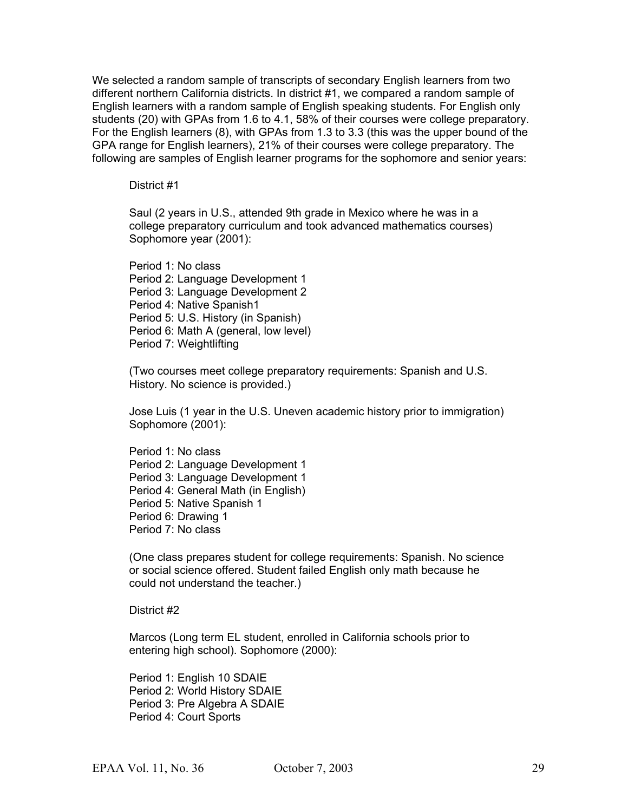We selected a random sample of transcripts of secondary English learners from two different northern California districts. In district #1, we compared a random sample of English learners with a random sample of English speaking students. For English only students (20) with GPAs from 1.6 to 4.1, 58% of their courses were college preparatory. For the English learners (8), with GPAs from 1.3 to 3.3 (this was the upper bound of the GPA range for English learners), 21% of their courses were college preparatory. The following are samples of English learner programs for the sophomore and senior years:

#### District #1

Saul (2 years in U.S., attended 9th grade in Mexico where he was in a college preparatory curriculum and took advanced mathematics courses) Sophomore year (2001):

Period 1: No class Period 2: Language Development 1 Period 3: Language Development 2 Period 4: Native Spanish1 Period 5: U.S. History (in Spanish) Period 6: Math A (general, low level) Period 7: Weightlifting

(Two courses meet college preparatory requirements: Spanish and U.S. History. No science is provided.)

Jose Luis (1 year in the U.S. Uneven academic history prior to immigration) Sophomore (2001):

Period 1: No class Period 2: Language Development 1 Period 3: Language Development 1 Period 4: General Math (in English) Period 5: Native Spanish 1 Period 6: Drawing 1 Period 7: No class

(One class prepares student for college requirements: Spanish. No science or social science offered. Student failed English only math because he could not understand the teacher.)

District #2

Marcos (Long term EL student, enrolled in California schools prior to entering high school). Sophomore (2000):

Period 1: English 10 SDAIE Period 2: World History SDAIE Period 3: Pre Algebra A SDAIE Period 4: Court Sports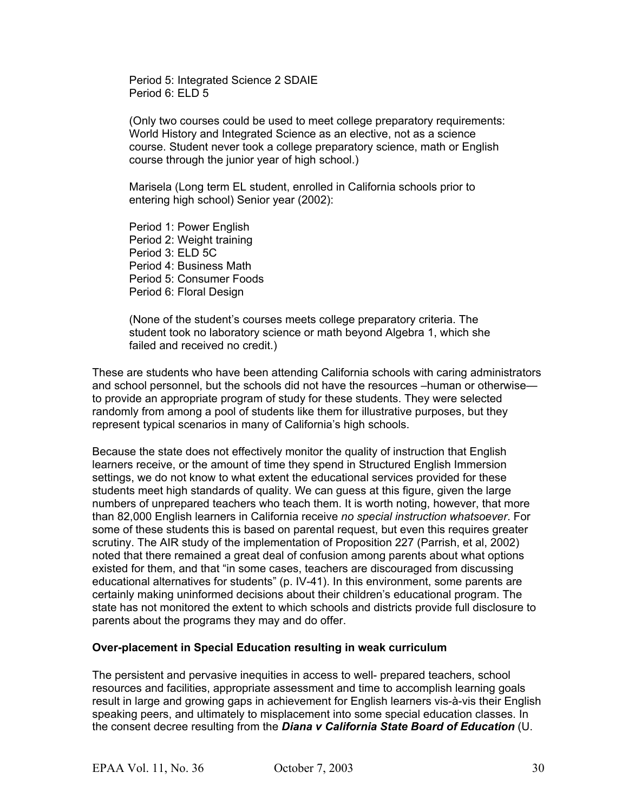Period 5: Integrated Science 2 SDAIE Period 6: ELD 5

(Only two courses could be used to meet college preparatory requirements: World History and Integrated Science as an elective, not as a science course. Student never took a college preparatory science, math or English course through the junior year of high school.)

Marisela (Long term EL student, enrolled in California schools prior to entering high school) Senior year (2002):

Period 1: Power English Period 2: Weight training Period 3: ELD 5C Period 4: Business Math Period 5: Consumer Foods Period 6: Floral Design

(None of the student's courses meets college preparatory criteria. The student took no laboratory science or math beyond Algebra 1, which she failed and received no credit.)

These are students who have been attending California schools with caring administrators and school personnel, but the schools did not have the resources –human or otherwise to provide an appropriate program of study for these students. They were selected randomly from among a pool of students like them for illustrative purposes, but they represent typical scenarios in many of California's high schools.

Because the state does not effectively monitor the quality of instruction that English learners receive, or the amount of time they spend in Structured English Immersion settings, we do not know to what extent the educational services provided for these students meet high standards of quality. We can guess at this figure, given the large numbers of unprepared teachers who teach them. It is worth noting, however, that more than 82,000 English learners in California receive *no special instruction whatsoever*. For some of these students this is based on parental request, but even this requires greater scrutiny. The AIR study of the implementation of Proposition 227 (Parrish, et al, 2002) noted that there remained a great deal of confusion among parents about what options existed for them, and that "in some cases, teachers are discouraged from discussing educational alternatives for students" (p. IV-41). In this environment, some parents are certainly making uninformed decisions about their children's educational program. The state has not monitored the extent to which schools and districts provide full disclosure to parents about the programs they may and do offer.

#### **Over-placement in Special Education resulting in weak curriculum**

The persistent and pervasive inequities in access to well- prepared teachers, school resources and facilities, appropriate assessment and time to accomplish learning goals result in large and growing gaps in achievement for English learners vis-à-vis their English speaking peers, and ultimately to misplacement into some special education classes. In the consent decree resulting from the *Diana v California State Board of Education* (U.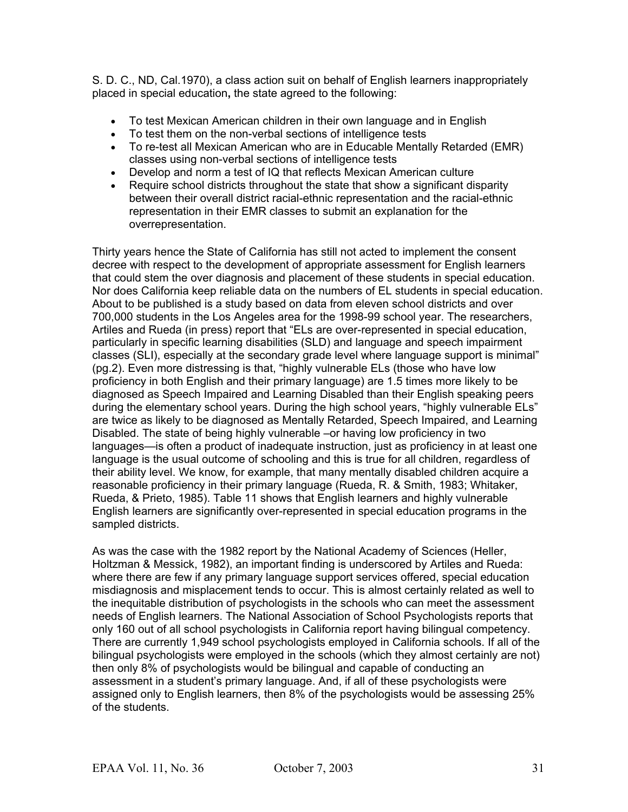S. D. C., ND, Cal.1970), a class action suit on behalf of English learners inappropriately placed in special education**,** the state agreed to the following:

- To test Mexican American children in their own language and in English
- To test them on the non-verbal sections of intelligence tests
- To re-test all Mexican American who are in Educable Mentally Retarded (EMR) classes using non-verbal sections of intelligence tests
- Develop and norm a test of IQ that reflects Mexican American culture
- Require school districts throughout the state that show a significant disparity between their overall district racial-ethnic representation and the racial-ethnic representation in their EMR classes to submit an explanation for the overrepresentation.

Thirty years hence the State of California has still not acted to implement the consent decree with respect to the development of appropriate assessment for English learners that could stem the over diagnosis and placement of these students in special education. Nor does California keep reliable data on the numbers of EL students in special education. About to be published is a study based on data from eleven school districts and over 700,000 students in the Los Angeles area for the 1998-99 school year. The researchers, Artiles and Rueda (in press) report that "ELs are over-represented in special education, particularly in specific learning disabilities (SLD) and language and speech impairment classes (SLI), especially at the secondary grade level where language support is minimal" (pg.2). Even more distressing is that, "highly vulnerable ELs (those who have low proficiency in both English and their primary language) are 1.5 times more likely to be diagnosed as Speech Impaired and Learning Disabled than their English speaking peers during the elementary school years. During the high school years, "highly vulnerable ELs" are twice as likely to be diagnosed as Mentally Retarded, Speech Impaired, and Learning Disabled. The state of being highly vulnerable –or having low proficiency in two languages—is often a product of inadequate instruction, just as proficiency in at least one language is the usual outcome of schooling and this is true for all children, regardless of their ability level. We know, for example, that many mentally disabled children acquire a reasonable proficiency in their primary language (Rueda, R. & Smith, 1983; Whitaker, Rueda, & Prieto, 1985). Table 11 shows that English learners and highly vulnerable English learners are significantly over-represented in special education programs in the sampled districts.

As was the case with the 1982 report by the National Academy of Sciences (Heller, Holtzman & Messick, 1982), an important finding is underscored by Artiles and Rueda: where there are few if any primary language support services offered, special education misdiagnosis and misplacement tends to occur. This is almost certainly related as well to the inequitable distribution of psychologists in the schools who can meet the assessment needs of English learners. The National Association of School Psychologists reports that only 160 out of all school psychologists in California report having bilingual competency. There are currently 1,949 school psychologists employed in California schools. If all of the bilingual psychologists were employed in the schools (which they almost certainly are not) then only 8% of psychologists would be bilingual and capable of conducting an assessment in a student's primary language. And, if all of these psychologists were assigned only to English learners, then 8% of the psychologists would be assessing 25% of the students.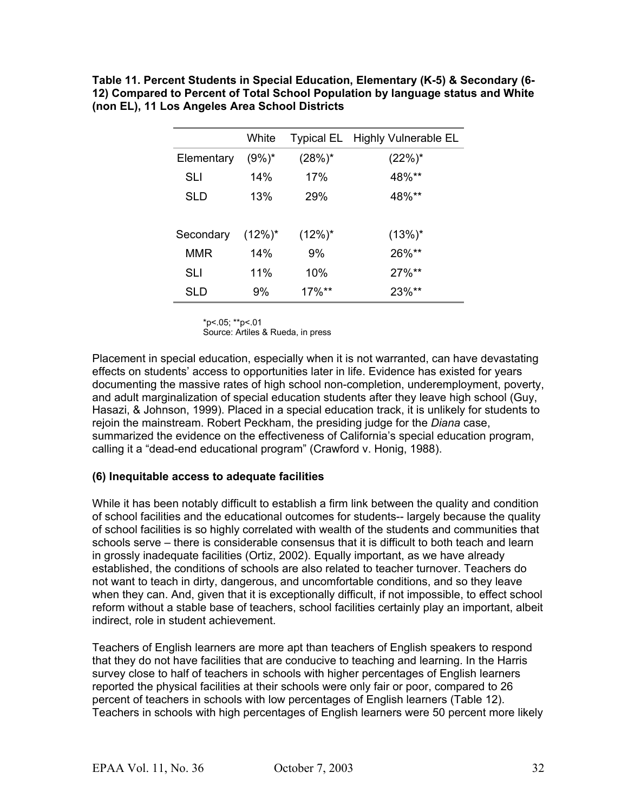**Table 11. Percent Students in Special Education, Elementary (K-5) & Secondary (6- 12) Compared to Percent of Total School Population by language status and White (non EL), 11 Los Angeles Area School Districts**

|            | White      |            | Typical EL Highly Vulnerable EL |
|------------|------------|------------|---------------------------------|
| Elementary | $(9\%)^*$  | $(28%)^*$  | $(22%)^*$                       |
| <b>SLI</b> | 14%        | 17%        | 48%**                           |
| <b>SLD</b> | 13%        | 29%        | 48%**                           |
|            |            |            |                                 |
| Secondary  | $(12\%)^*$ | $(12\%)^*$ | $(13%)^*$                       |
| <b>MMR</b> | 14%        | 9%         | 26%**                           |
| SLI        | 11%        | 10%        | $27\%**$                        |
| SLD        | 9%         | $17\%**$   | 23%**                           |

\*p<.05; \*\*p<.01

Source: Artiles & Rueda, in press

Placement in special education, especially when it is not warranted, can have devastating effects on students' access to opportunities later in life. Evidence has existed for years documenting the massive rates of high school non-completion, underemployment, poverty, and adult marginalization of special education students after they leave high school (Guy, Hasazi, & Johnson, 1999). Placed in a special education track, it is unlikely for students to rejoin the mainstream. Robert Peckham, the presiding judge for the *Diana* case, summarized the evidence on the effectiveness of California's special education program, calling it a "dead-end educational program" (Crawford v. Honig, 1988).

#### **(6) Inequitable access to adequate facilities**

While it has been notably difficult to establish a firm link between the quality and condition of school facilities and the educational outcomes for students-- largely because the quality of school facilities is so highly correlated with wealth of the students and communities that schools serve – there is considerable consensus that it is difficult to both teach and learn in grossly inadequate facilities (Ortiz, 2002). Equally important, as we have already established, the conditions of schools are also related to teacher turnover. Teachers do not want to teach in dirty, dangerous, and uncomfortable conditions, and so they leave when they can. And, given that it is exceptionally difficult, if not impossible, to effect school reform without a stable base of teachers, school facilities certainly play an important, albeit indirect, role in student achievement.

Teachers of English learners are more apt than teachers of English speakers to respond that they do not have facilities that are conducive to teaching and learning. In the Harris survey close to half of teachers in schools with higher percentages of English learners reported the physical facilities at their schools were only fair or poor, compared to 26 percent of teachers in schools with low percentages of English learners (Table 12). Teachers in schools with high percentages of English learners were 50 percent more likely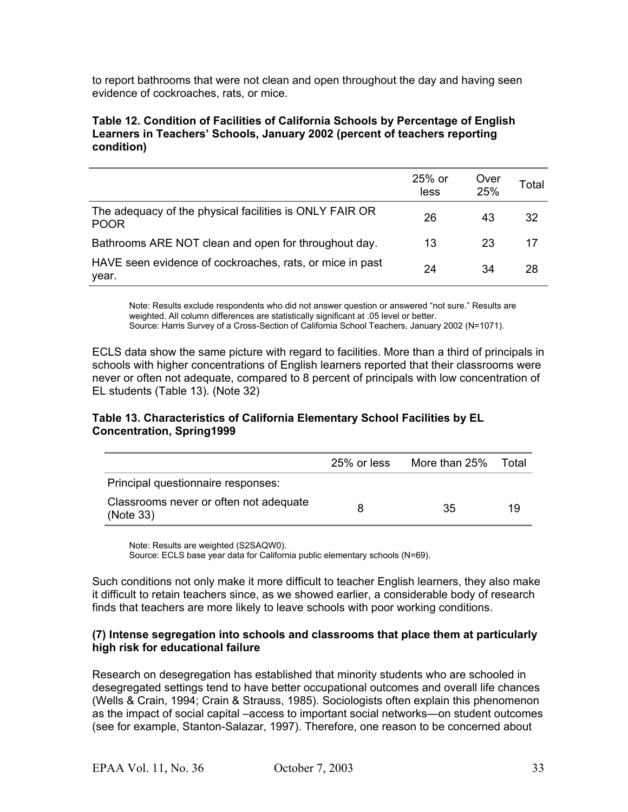to report bathrooms that were not clean and open throughout the day and having seen evidence of cockroaches, rats, or mice.

#### **Table 12. Condition of Facilities of California Schools by Percentage of English Learners in Teachers' Schools, January 2002 (percent of teachers reporting condition)**

|                                                                        | 25% or<br>less | Over<br>25% | Total |
|------------------------------------------------------------------------|----------------|-------------|-------|
| The adequacy of the physical facilities is ONLY FAIR OR<br><b>POOR</b> | 26             | 43          | 32    |
| Bathrooms ARE NOT clean and open for throughout day.                   | 13             | 23          | 17    |
| HAVE seen evidence of cockroaches, rats, or mice in past<br>year.      | 24             | 34          | 28    |

Note: Results exclude respondents who did not answer question or answered "not sure." Results are weighted. All column differences are statistically significant at .05 level or better. Source: Harris Survey of a Cross-Section of California School Teachers, January 2002 (N=1071).

ECLS data show the same picture with regard to facilities. More than a third of principals in schools with higher concentrations of English learners reported that their classrooms were never or often not adequate, compared to 8 percent of principals with low concentration of EL students (Table 13). (Note 32)

#### **Table 13. Characteristics of California Elementary School Facilities by EL Concentration, Spring1999**

|                                                     | 25% or less | More than 25% | Total |
|-----------------------------------------------------|-------------|---------------|-------|
| Principal questionnaire responses:                  |             |               |       |
| Classrooms never or often not adequate<br>(Note 33) | 8           | 35            | 19    |

Note: Results are weighted (S2SAQW0).

Source: ECLS base year data for California public elementary schools (N=69).

Such conditions not only make it more difficult to teacher English learners, they also make it difficult to retain teachers since, as we showed earlier, a considerable body of research finds that teachers are more likely to leave schools with poor working conditions.

#### **(7) Intense segregation into schools and classrooms that place them at particularly high risk for educational failure**

Research on desegregation has established that minority students who are schooled in desegregated settings tend to have better occupational outcomes and overall life chances (Wells & Crain, 1994; Crain & Strauss, 1985). Sociologists often explain this phenomenon as the impact of social capital –access to important social networks—on student outcomes (see for example, Stanton-Salazar, 1997). Therefore, one reason to be concerned about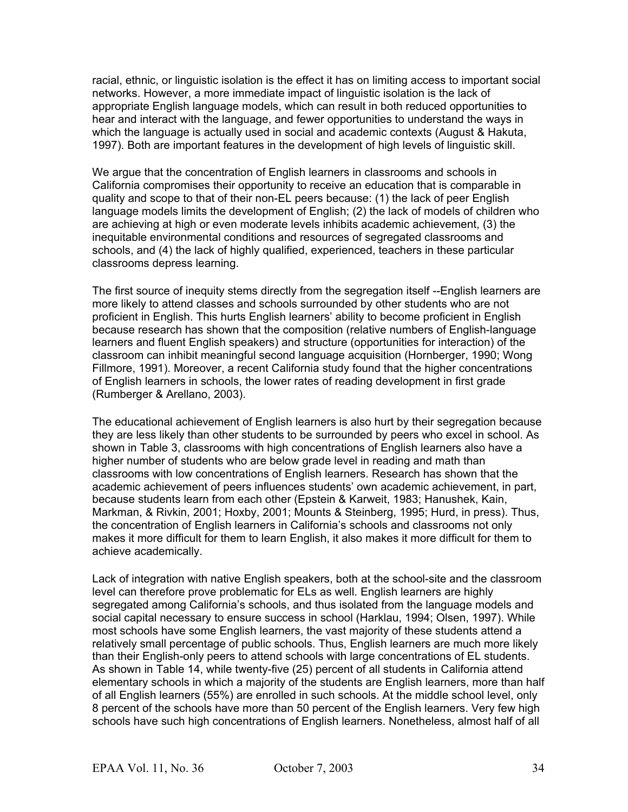racial, ethnic, or linguistic isolation is the effect it has on limiting access to important social networks. However, a more immediate impact of linguistic isolation is the lack of appropriate English language models, which can result in both reduced opportunities to hear and interact with the language, and fewer opportunities to understand the ways in which the language is actually used in social and academic contexts (August & Hakuta, 1997). Both are important features in the development of high levels of linguistic skill.

We argue that the concentration of English learners in classrooms and schools in California compromises their opportunity to receive an education that is comparable in quality and scope to that of their non-EL peers because: (1) the lack of peer English language models limits the development of English; (2) the lack of models of children who are achieving at high or even moderate levels inhibits academic achievement, (3) the inequitable environmental conditions and resources of segregated classrooms and schools, and (4) the lack of highly qualified, experienced, teachers in these particular classrooms depress learning.

The first source of inequity stems directly from the segregation itself --English learners are more likely to attend classes and schools surrounded by other students who are not proficient in English. This hurts English learners' ability to become proficient in English because research has shown that the composition (relative numbers of English-language learners and fluent English speakers) and structure (opportunities for interaction) of the classroom can inhibit meaningful second language acquisition (Hornberger, 1990; Wong Fillmore, 1991). Moreover, a recent California study found that the higher concentrations of English learners in schools, the lower rates of reading development in first grade (Rumberger & Arellano, 2003).

The educational achievement of English learners is also hurt by their segregation because they are less likely than other students to be surrounded by peers who excel in school. As shown in Table 3, classrooms with high concentrations of English learners also have a higher number of students who are below grade level in reading and math than classrooms with low concentrations of English learners. Research has shown that the academic achievement of peers influences students' own academic achievement, in part, because students learn from each other (Epstein & Karweit, 1983; Hanushek, Kain, Markman, & Rivkin, 2001; Hoxby, 2001; Mounts & Steinberg, 1995; Hurd, in press). Thus, the concentration of English learners in California's schools and classrooms not only makes it more difficult for them to learn English, it also makes it more difficult for them to achieve academically.

Lack of integration with native English speakers, both at the school-site and the classroom level can therefore prove problematic for ELs as well. English learners are highly segregated among California's schools, and thus isolated from the language models and social capital necessary to ensure success in school (Harklau, 1994; Olsen, 1997). While most schools have some English learners, the vast majority of these students attend a relatively small percentage of public schools. Thus, English learners are much more likely than their English-only peers to attend schools with large concentrations of EL students. As shown in Table 14, while twenty-five (25) percent of all students in California attend elementary schools in which a majority of the students are English learners, more than half of all English learners (55%) are enrolled in such schools. At the middle school level, only 8 percent of the schools have more than 50 percent of the English learners. Very few high schools have such high concentrations of English learners. Nonetheless, almost half of all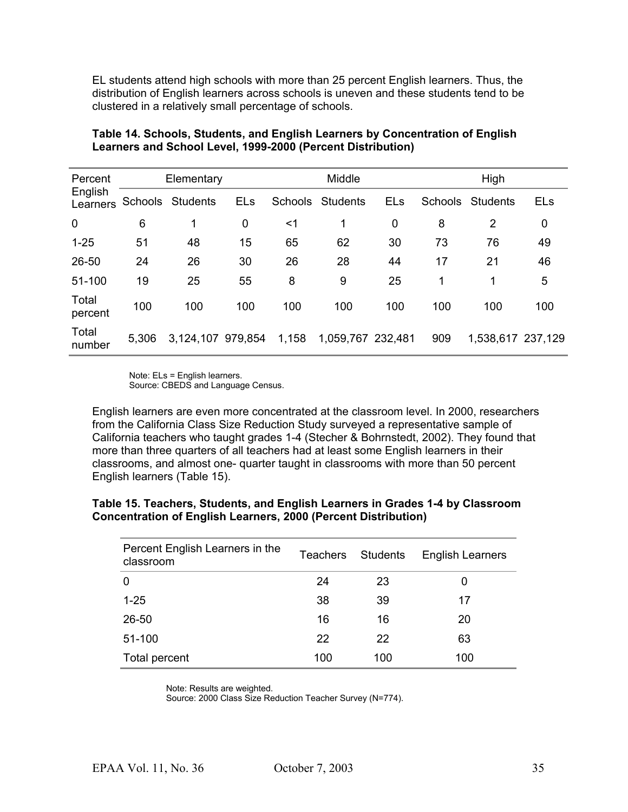EL students attend high schools with more than 25 percent English learners. Thus, the distribution of English learners across schools is uneven and these students tend to be clustered in a relatively small percentage of schools.

| Percent<br>English<br>Learners | Elementary |                   |            | Middle  |                   |            | High           |                   |            |
|--------------------------------|------------|-------------------|------------|---------|-------------------|------------|----------------|-------------------|------------|
|                                | Schools    | <b>Students</b>   | <b>ELs</b> | Schools | <b>Students</b>   | <b>ELs</b> | <b>Schools</b> | <b>Students</b>   | <b>ELs</b> |
| 0                              | 6          | 1                 | 0          | $<$ 1   | 1                 | 0          | 8              | 2                 | 0          |
| $1 - 25$                       | 51         | 48                | 15         | 65      | 62                | 30         | 73             | 76                | 49         |
| 26-50                          | 24         | 26                | 30         | 26      | 28                | 44         | 17             | 21                | 46         |
| 51-100                         | 19         | 25                | 55         | 8       | 9                 | 25         | 1              | 1                 | 5          |
| Total<br>percent               | 100        | 100               | 100        | 100     | 100               | 100        | 100            | 100               | 100        |
| Total<br>number                | 5,306      | 3,124,107 979,854 |            | 1,158   | 1,059,767 232,481 |            | 909            | 1,538,617 237,129 |            |

#### **Table 14. Schools, Students, and English Learners by Concentration of English Learners and School Level, 1999-2000 (Percent Distribution)**

Note: ELs = English learners. Source: CBEDS and Language Census.

English learners are even more concentrated at the classroom level. In 2000, researchers from the California Class Size Reduction Study surveyed a representative sample of California teachers who taught grades 1-4 (Stecher & Bohrnstedt, 2002). They found that more than three quarters of all teachers had at least some English learners in their classrooms, and almost one- quarter taught in classrooms with more than 50 percent English learners (Table 15).

#### **Table 15. Teachers, Students, and English Learners in Grades 1-4 by Classroom Concentration of English Learners, 2000 (Percent Distribution)**

| Percent English Learners in the<br>classroom | <b>Teachers</b> | Students | <b>English Learners</b> |
|----------------------------------------------|-----------------|----------|-------------------------|
| 0                                            | 24              | 23       | 0                       |
| $1 - 25$                                     | 38              | 39       | 17                      |
| 26-50                                        | 16              | 16       | 20                      |
| 51-100                                       | 22              | 22       | 63                      |
| Total percent                                | 100             | 100      | 100                     |

Note: Results are weighted.

Source: 2000 Class Size Reduction Teacher Survey (N=774).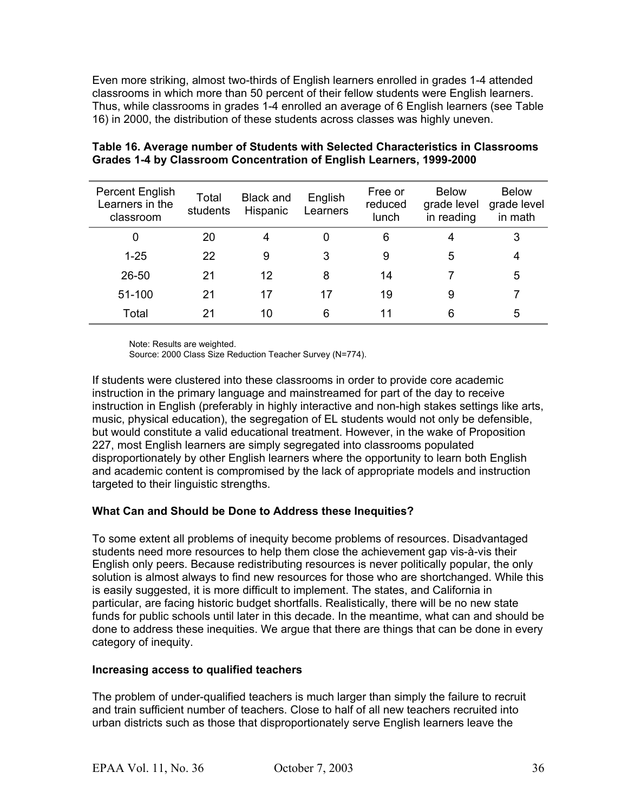Even more striking, almost two-thirds of English learners enrolled in grades 1-4 attended classrooms in which more than 50 percent of their fellow students were English learners. Thus, while classrooms in grades 1-4 enrolled an average of 6 English learners (see Table 16) in 2000, the distribution of these students across classes was highly uneven.

| Percent English<br>Learners in the<br>classroom | Total<br>students | <b>Black and</b><br>Hispanic | English<br>Learners | Free or<br>reduced<br>lunch | <b>Below</b><br>grade level<br>in reading | <b>Below</b><br>grade level<br>in math |
|-------------------------------------------------|-------------------|------------------------------|---------------------|-----------------------------|-------------------------------------------|----------------------------------------|
| 0                                               | 20                | 4                            | 0                   | 6                           | 4                                         | 3                                      |
| $1 - 25$                                        | 22                | 9                            | 3                   | 9                           | 5                                         | 4                                      |
| 26-50                                           | 21                | 12                           | 8                   | 14                          |                                           | 5                                      |
| 51-100                                          | 21                | 17                           | 17                  | 19                          | 9                                         |                                        |
| Total                                           | 21                | 10                           | 6                   | 11                          | 6                                         | 5                                      |

#### **Table 16. Average number of Students with Selected Characteristics in Classrooms Grades 1-4 by Classroom Concentration of English Learners, 1999-2000**

Note: Results are weighted.

Source: 2000 Class Size Reduction Teacher Survey (N=774).

If students were clustered into these classrooms in order to provide core academic instruction in the primary language and mainstreamed for part of the day to receive instruction in English (preferably in highly interactive and non-high stakes settings like arts, music, physical education), the segregation of EL students would not only be defensible, but would constitute a valid educational treatment. However, in the wake of Proposition 227, most English learners are simply segregated into classrooms populated disproportionately by other English learners where the opportunity to learn both English and academic content is compromised by the lack of appropriate models and instruction targeted to their linguistic strengths.

### **What Can and Should be Done to Address these Inequities?**

To some extent all problems of inequity become problems of resources. Disadvantaged students need more resources to help them close the achievement gap vis-à-vis their English only peers. Because redistributing resources is never politically popular, the only solution is almost always to find new resources for those who are shortchanged. While this is easily suggested, it is more difficult to implement. The states, and California in particular, are facing historic budget shortfalls. Realistically, there will be no new state funds for public schools until later in this decade. In the meantime, what can and should be done to address these inequities. We argue that there are things that can be done in every category of inequity.

#### **Increasing access to qualified teachers**

The problem of under-qualified teachers is much larger than simply the failure to recruit and train sufficient number of teachers. Close to half of all new teachers recruited into urban districts such as those that disproportionately serve English learners leave the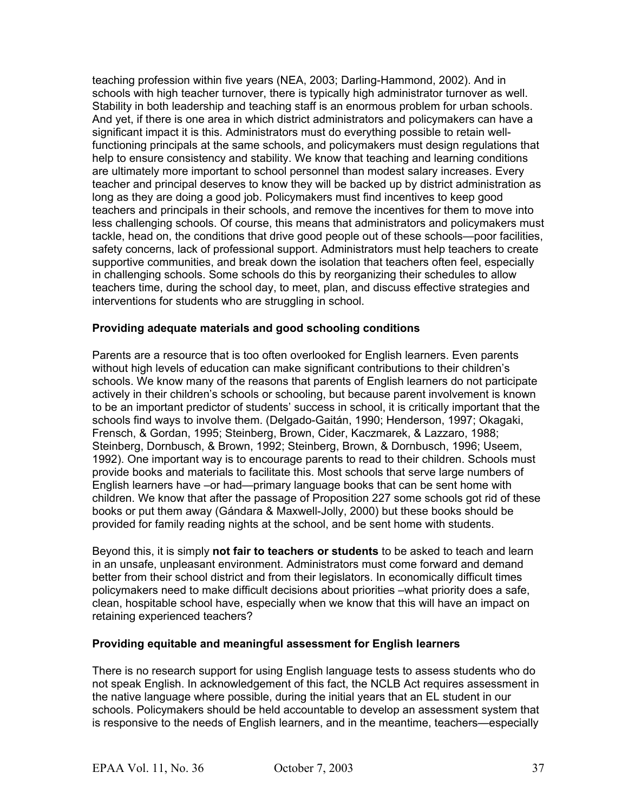teaching profession within five years (NEA, 2003; Darling-Hammond, 2002). And in schools with high teacher turnover, there is typically high administrator turnover as well. Stability in both leadership and teaching staff is an enormous problem for urban schools. And yet, if there is one area in which district administrators and policymakers can have a significant impact it is this. Administrators must do everything possible to retain wellfunctioning principals at the same schools, and policymakers must design regulations that help to ensure consistency and stability. We know that teaching and learning conditions are ultimately more important to school personnel than modest salary increases. Every teacher and principal deserves to know they will be backed up by district administration as long as they are doing a good job. Policymakers must find incentives to keep good teachers and principals in their schools, and remove the incentives for them to move into less challenging schools. Of course, this means that administrators and policymakers must tackle, head on, the conditions that drive good people out of these schools—poor facilities, safety concerns, lack of professional support. Administrators must help teachers to create supportive communities, and break down the isolation that teachers often feel, especially in challenging schools. Some schools do this by reorganizing their schedules to allow teachers time, during the school day, to meet, plan, and discuss effective strategies and interventions for students who are struggling in school.

#### **Providing adequate materials and good schooling conditions**

Parents are a resource that is too often overlooked for English learners. Even parents without high levels of education can make significant contributions to their children's schools. We know many of the reasons that parents of English learners do not participate actively in their children's schools or schooling, but because parent involvement is known to be an important predictor of students' success in school, it is critically important that the schools find ways to involve them. (Delgado-Gaitán, 1990; Henderson, 1997; Okagaki, Frensch, & Gordan, 1995; Steinberg, Brown, Cider, Kaczmarek, & Lazzaro, 1988; Steinberg, Dornbusch, & Brown, 1992; Steinberg, Brown, & Dornbusch, 1996; Useem, 1992). One important way is to encourage parents to read to their children. Schools must provide books and materials to facilitate this. Most schools that serve large numbers of English learners have –or had—primary language books that can be sent home with children. We know that after the passage of Proposition 227 some schools got rid of these books or put them away (Gándara & Maxwell-Jolly, 2000) but these books should be provided for family reading nights at the school, and be sent home with students.

Beyond this, it is simply **not fair to teachers or students** to be asked to teach and learn in an unsafe, unpleasant environment. Administrators must come forward and demand better from their school district and from their legislators. In economically difficult times policymakers need to make difficult decisions about priorities –what priority does a safe, clean, hospitable school have, especially when we know that this will have an impact on retaining experienced teachers?

#### **Providing equitable and meaningful assessment for English learners**

There is no research support for using English language tests to assess students who do not speak English. In acknowledgement of this fact, the NCLB Act requires assessment in the native language where possible, during the initial years that an EL student in our schools. Policymakers should be held accountable to develop an assessment system that is responsive to the needs of English learners, and in the meantime, teachers—especially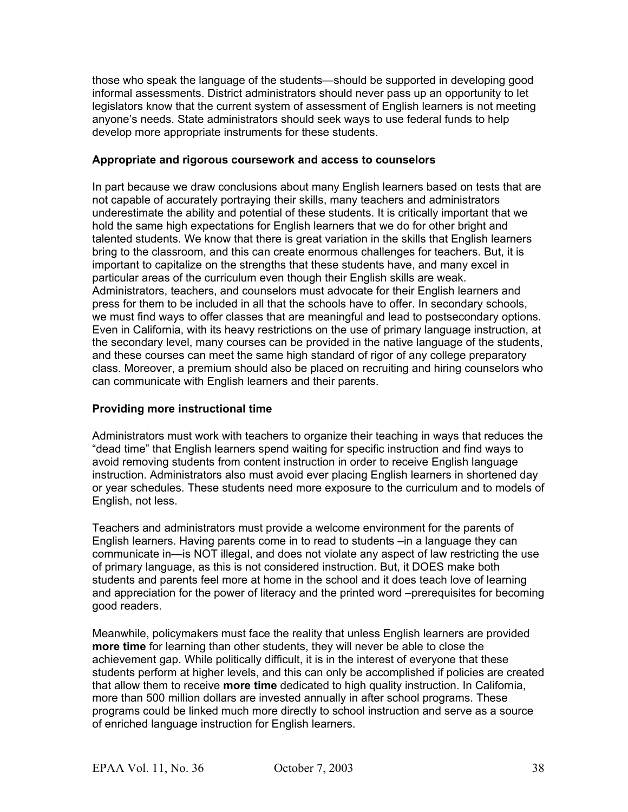those who speak the language of the students—should be supported in developing good informal assessments. District administrators should never pass up an opportunity to let legislators know that the current system of assessment of English learners is not meeting anyone's needs. State administrators should seek ways to use federal funds to help develop more appropriate instruments for these students.

#### **Appropriate and rigorous coursework and access to counselors**

In part because we draw conclusions about many English learners based on tests that are not capable of accurately portraying their skills, many teachers and administrators underestimate the ability and potential of these students. It is critically important that we hold the same high expectations for English learners that we do for other bright and talented students. We know that there is great variation in the skills that English learners bring to the classroom, and this can create enormous challenges for teachers. But, it is important to capitalize on the strengths that these students have, and many excel in particular areas of the curriculum even though their English skills are weak. Administrators, teachers, and counselors must advocate for their English learners and press for them to be included in all that the schools have to offer. In secondary schools, we must find ways to offer classes that are meaningful and lead to postsecondary options. Even in California, with its heavy restrictions on the use of primary language instruction, at the secondary level, many courses can be provided in the native language of the students, and these courses can meet the same high standard of rigor of any college preparatory class. Moreover, a premium should also be placed on recruiting and hiring counselors who can communicate with English learners and their parents.

#### **Providing more instructional time**

Administrators must work with teachers to organize their teaching in ways that reduces the "dead time" that English learners spend waiting for specific instruction and find ways to avoid removing students from content instruction in order to receive English language instruction. Administrators also must avoid ever placing English learners in shortened day or year schedules. These students need more exposure to the curriculum and to models of English, not less.

Teachers and administrators must provide a welcome environment for the parents of English learners. Having parents come in to read to students –in a language they can communicate in—is NOT illegal, and does not violate any aspect of law restricting the use of primary language, as this is not considered instruction. But, it DOES make both students and parents feel more at home in the school and it does teach love of learning and appreciation for the power of literacy and the printed word –prerequisites for becoming good readers.

Meanwhile, policymakers must face the reality that unless English learners are provided **more time** for learning than other students, they will never be able to close the achievement gap. While politically difficult, it is in the interest of everyone that these students perform at higher levels, and this can only be accomplished if policies are created that allow them to receive **more time** dedicated to high quality instruction. In California, more than 500 million dollars are invested annually in after school programs. These programs could be linked much more directly to school instruction and serve as a source of enriched language instruction for English learners.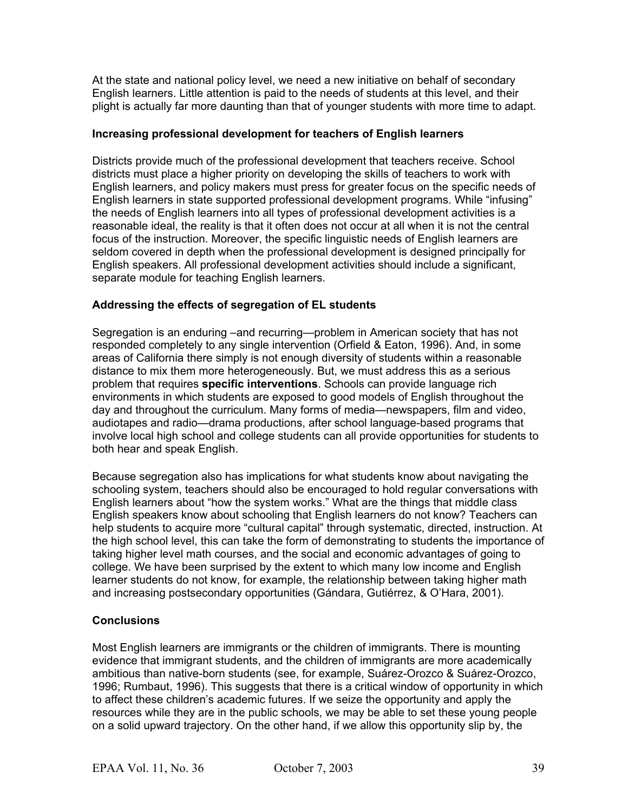At the state and national policy level, we need a new initiative on behalf of secondary English learners. Little attention is paid to the needs of students at this level, and their plight is actually far more daunting than that of younger students with more time to adapt.

#### **Increasing professional development for teachers of English learners**

Districts provide much of the professional development that teachers receive. School districts must place a higher priority on developing the skills of teachers to work with English learners, and policy makers must press for greater focus on the specific needs of English learners in state supported professional development programs. While "infusing" the needs of English learners into all types of professional development activities is a reasonable ideal, the reality is that it often does not occur at all when it is not the central focus of the instruction. Moreover, the specific linguistic needs of English learners are seldom covered in depth when the professional development is designed principally for English speakers. All professional development activities should include a significant, separate module for teaching English learners.

#### **Addressing the effects of segregation of EL students**

Segregation is an enduring –and recurring—problem in American society that has not responded completely to any single intervention (Orfield & Eaton, 1996). And, in some areas of California there simply is not enough diversity of students within a reasonable distance to mix them more heterogeneously. But, we must address this as a serious problem that requires **specific interventions**. Schools can provide language rich environments in which students are exposed to good models of English throughout the day and throughout the curriculum. Many forms of media—newspapers, film and video, audiotapes and radio—drama productions, after school language-based programs that involve local high school and college students can all provide opportunities for students to both hear and speak English.

Because segregation also has implications for what students know about navigating the schooling system, teachers should also be encouraged to hold regular conversations with English learners about "how the system works." What are the things that middle class English speakers know about schooling that English learners do not know? Teachers can help students to acquire more "cultural capital" through systematic, directed, instruction. At the high school level, this can take the form of demonstrating to students the importance of taking higher level math courses, and the social and economic advantages of going to college. We have been surprised by the extent to which many low income and English learner students do not know, for example, the relationship between taking higher math and increasing postsecondary opportunities (Gándara, Gutiérrez, & O'Hara, 2001).

#### **Conclusions**

Most English learners are immigrants or the children of immigrants. There is mounting evidence that immigrant students, and the children of immigrants are more academically ambitious than native-born students (see, for example, Suárez-Orozco & Suárez-Orozco, 1996; Rumbaut, 1996). This suggests that there is a critical window of opportunity in which to affect these children's academic futures. If we seize the opportunity and apply the resources while they are in the public schools, we may be able to set these young people on a solid upward trajectory. On the other hand, if we allow this opportunity slip by, the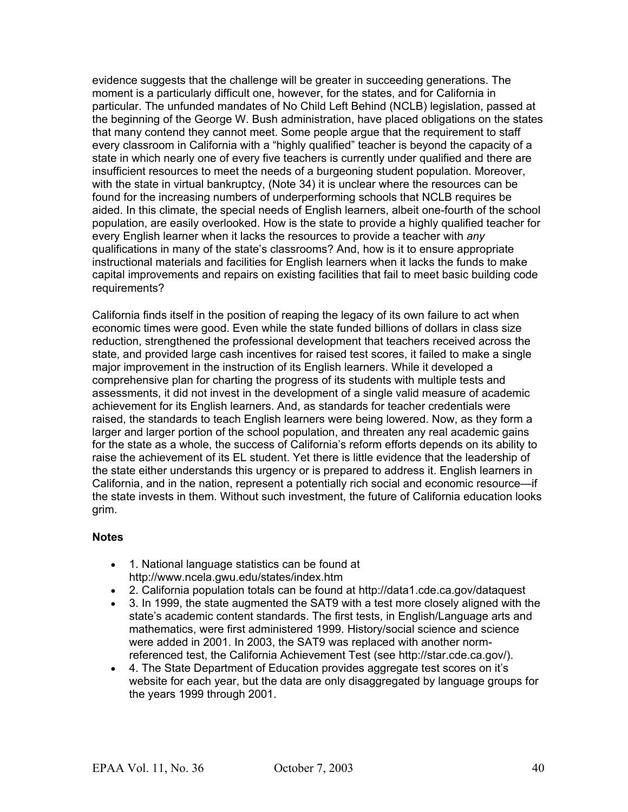evidence suggests that the challenge will be greater in succeeding generations. The moment is a particularly difficult one, however, for the states, and for California in particular. The unfunded mandates of No Child Left Behind (NCLB) legislation, passed at the beginning of the George W. Bush administration, have placed obligations on the states that many contend they cannot meet. Some people argue that the requirement to staff every classroom in California with a "highly qualified" teacher is beyond the capacity of a state in which nearly one of every five teachers is currently under qualified and there are insufficient resources to meet the needs of a burgeoning student population. Moreover, with the state in virtual bankruptcy, (Note 34) it is unclear where the resources can be found for the increasing numbers of underperforming schools that NCLB requires be aided. In this climate, the special needs of English learners, albeit one-fourth of the school population, are easily overlooked. How is the state to provide a highly qualified teacher for every English learner when it lacks the resources to provide a teacher with *any* qualifications in many of the state's classrooms? And, how is it to ensure appropriate instructional materials and facilities for English learners when it lacks the funds to make capital improvements and repairs on existing facilities that fail to meet basic building code requirements?

California finds itself in the position of reaping the legacy of its own failure to act when economic times were good. Even while the state funded billions of dollars in class size reduction, strengthened the professional development that teachers received across the state, and provided large cash incentives for raised test scores, it failed to make a single major improvement in the instruction of its English learners. While it developed a comprehensive plan for charting the progress of its students with multiple tests and assessments, it did not invest in the development of a single valid measure of academic achievement for its English learners. And, as standards for teacher credentials were raised, the standards to teach English learners were being lowered. Now, as they form a larger and larger portion of the school population, and threaten any real academic gains for the state as a whole, the success of California's reform efforts depends on its ability to raise the achievement of its EL student. Yet there is little evidence that the leadership of the state either understands this urgency or is prepared to address it. English learners in California, and in the nation, represent a potentially rich social and economic resource—if the state invests in them. Without such investment, the future of California education looks grim.

#### **Notes**

- 1. National language statistics can be found at http://www.ncela.gwu.edu/states/index.htm
- 2. California population totals can be found at http://data1.cde.ca.gov/dataquest
- 3. In 1999, the state augmented the SAT9 with a test more closely aligned with the state's academic content standards. The first tests, in English/Language arts and mathematics, were first administered 1999. History/social science and science were added in 2001. In 2003, the SAT9 was replaced with another normreferenced test, the California Achievement Test (see http://star.cde.ca.gov/).
- 4. The State Department of Education provides aggregate test scores on it's website for each year, but the data are only disaggregated by language groups for the years 1999 through 2001.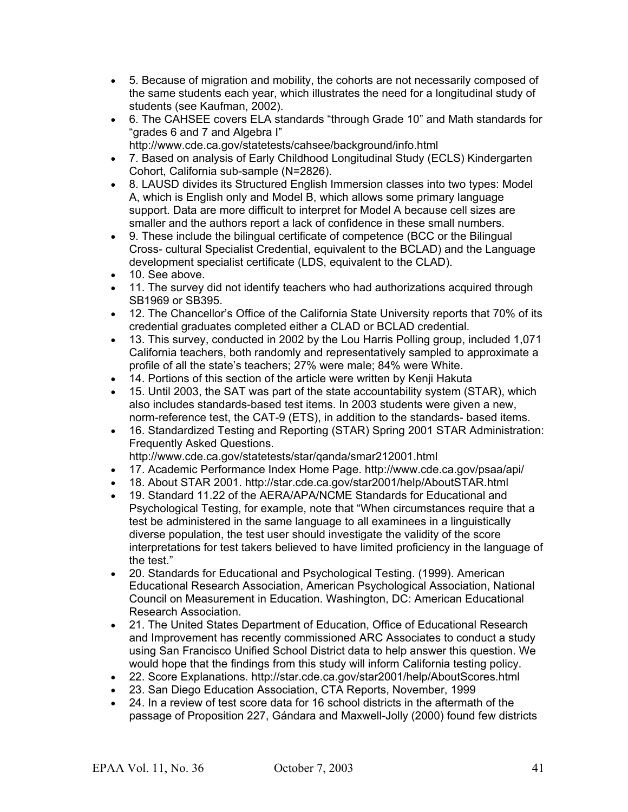- 5. Because of migration and mobility, the cohorts are not necessarily composed of the same students each year, which illustrates the need for a longitudinal study of students (see Kaufman, 2002).
- 6. The CAHSEE covers ELA standards "through Grade 10" and Math standards for "grades 6 and 7 and Algebra I" http://www.cde.ca.gov/statetests/cahsee/background/info.html
- 7. Based on analysis of Early Childhood Longitudinal Study (ECLS) Kindergarten Cohort, California sub-sample (N=2826).
- 8. LAUSD divides its Structured English Immersion classes into two types: Model A, which is English only and Model B, which allows some primary language support. Data are more difficult to interpret for Model A because cell sizes are smaller and the authors report a lack of confidence in these small numbers.
- 9. These include the bilingual certificate of competence (BCC or the Bilingual Cross- cultural Specialist Credential, equivalent to the BCLAD) and the Language development specialist certificate (LDS, equivalent to the CLAD).
- 10. See above.
- 11. The survey did not identify teachers who had authorizations acquired through SB1969 or SB395.
- 12. The Chancellor's Office of the California State University reports that 70% of its credential graduates completed either a CLAD or BCLAD credential.
- 13. This survey, conducted in 2002 by the Lou Harris Polling group, included 1,071 California teachers, both randomly and representatively sampled to approximate a profile of all the state's teachers; 27% were male; 84% were White.
- 14. Portions of this section of the article were written by Kenji Hakuta
- 15. Until 2003, the SAT was part of the state accountability system (STAR), which also includes standards-based test items. In 2003 students were given a new, norm-reference test, the CAT-9 (ETS), in addition to the standards- based items.
- 16. Standardized Testing and Reporting (STAR) Spring 2001 STAR Administration: Frequently Asked Questions.
	- http://www.cde.ca.gov/statetests/star/qanda/smar212001.html
- 17. Academic Performance Index Home Page. http://www.cde.ca.gov/psaa/api/
- 18. About STAR 2001. http://star.cde.ca.gov/star2001/help/AboutSTAR.html
- 19. Standard 11.22 of the AERA/APA/NCME Standards for Educational and Psychological Testing, for example, note that "When circumstances require that a test be administered in the same language to all examinees in a linguistically diverse population, the test user should investigate the validity of the score interpretations for test takers believed to have limited proficiency in the language of the test."
- 20. Standards for Educational and Psychological Testing. (1999). American Educational Research Association, American Psychological Association, National Council on Measurement in Education. Washington, DC: American Educational Research Association.
- 21. The United States Department of Education, Office of Educational Research and Improvement has recently commissioned ARC Associates to conduct a study using San Francisco Unified School District data to help answer this question. We would hope that the findings from this study will inform California testing policy.
- 22. Score Explanations. http://star.cde.ca.gov/star2001/help/AboutScores.html
- 23. San Diego Education Association, CTA Reports, November, 1999
- 24. In a review of test score data for 16 school districts in the aftermath of the passage of Proposition 227, Gándara and Maxwell-Jolly (2000) found few districts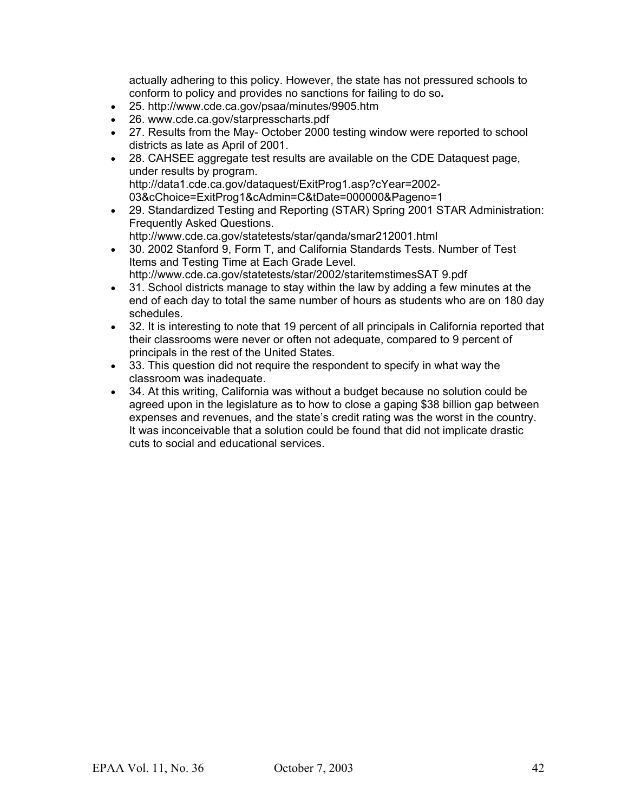actually adhering to this policy. However, the state has not pressured schools to conform to policy and provides no sanctions for failing to do so**.**

- 25. http://www.cde.ca.gov/psaa/minutes/9905.htm
- 26. www.cde.ca.gov/starpresscharts.pdf
- 27. Results from the May- October 2000 testing window were reported to school districts as late as April of 2001.
- 28. CAHSEE aggregate test results are available on the CDE Dataquest page, under results by program. http://data1.cde.ca.gov/dataquest/ExitProg1.asp?cYear=2002- 03&cChoice=ExitProg1&cAdmin=C&tDate=000000&Pageno=1
- 29. Standardized Testing and Reporting (STAR) Spring 2001 STAR Administration: Frequently Asked Questions.

http://www.cde.ca.gov/statetests/star/qanda/smar212001.html

- 30. 2002 Stanford 9, Form T, and California Standards Tests. Number of Test Items and Testing Time at Each Grade Level. http://www.cde.ca.gov/statetests/star/2002/staritemstimesSAT 9.pdf
- 31. School districts manage to stay within the law by adding a few minutes at the end of each day to total the same number of hours as students who are on 180 day schedules.
- 32. It is interesting to note that 19 percent of all principals in California reported that their classrooms were never or often not adequate, compared to 9 percent of principals in the rest of the United States.
- 33. This question did not require the respondent to specify in what way the classroom was inadequate.
- 34. At this writing, California was without a budget because no solution could be agreed upon in the legislature as to how to close a gaping \$38 billion gap between expenses and revenues, and the state's credit rating was the worst in the country. It was inconceivable that a solution could be found that did not implicate drastic cuts to social and educational services.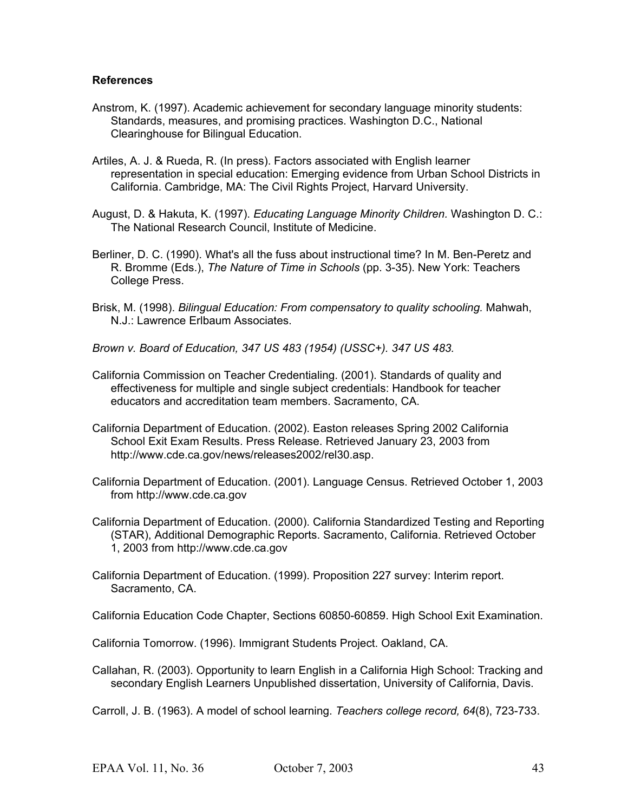#### **References**

- Anstrom, K. (1997). Academic achievement for secondary language minority students: Standards, measures, and promising practices. Washington D.C., National Clearinghouse for Bilingual Education.
- Artiles, A. J. & Rueda, R. (In press). Factors associated with English learner representation in special education: Emerging evidence from Urban School Districts in California. Cambridge, MA: The Civil Rights Project, Harvard University.
- August, D. & Hakuta, K. (1997). *Educating Language Minority Children.* Washington D. C.: The National Research Council, Institute of Medicine.
- Berliner, D. C. (1990). What's all the fuss about instructional time? In M. Ben-Peretz and R. Bromme (Eds.), *The Nature of Time in Schools* (pp. 3-35). New York: Teachers College Press.
- Brisk, M. (1998). *Bilingual Education: From compensatory to quality schooling.* Mahwah, N.J.: Lawrence Erlbaum Associates.
- *Brown v. Board of Education, 347 US 483 (1954) (USSC+). 347 US 483.*
- California Commission on Teacher Credentialing. (2001). Standards of quality and effectiveness for multiple and single subject credentials: Handbook for teacher educators and accreditation team members. Sacramento, CA.
- California Department of Education. (2002). Easton releases Spring 2002 California School Exit Exam Results. Press Release. Retrieved January 23, 2003 from http://www.cde.ca.gov/news/releases2002/rel30.asp.
- California Department of Education. (2001). Language Census. Retrieved October 1, 2003 from http://www.cde.ca.gov
- California Department of Education. (2000). California Standardized Testing and Reporting (STAR), Additional Demographic Reports. Sacramento, California. Retrieved October 1, 2003 from http://www.cde.ca.gov
- California Department of Education. (1999). Proposition 227 survey: Interim report. Sacramento, CA.

California Education Code Chapter, Sections 60850-60859. High School Exit Examination.

- California Tomorrow. (1996). Immigrant Students Project. Oakland, CA.
- Callahan, R. (2003). Opportunity to learn English in a California High School: Tracking and secondary English Learners Unpublished dissertation, University of California, Davis.
- Carroll, J. B. (1963). A model of school learning. *Teachers college record, 64*(8), 723-733.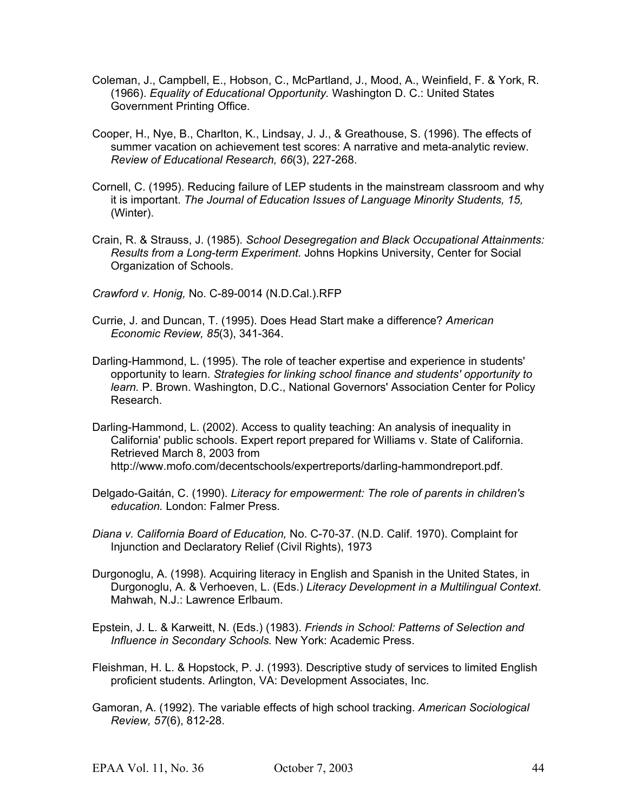- Coleman, J., Campbell, E., Hobson, C., McPartland, J., Mood, A., Weinfield, F. & York, R. (1966). *Equality of Educational Opportunity.* Washington D. C.: United States Government Printing Office.
- Cooper, H., Nye, B., Charlton, K., Lindsay, J. J., & Greathouse, S. (1996). The effects of summer vacation on achievement test scores: A narrative and meta-analytic review. *Review of Educational Research, 66*(3), 227-268.
- Cornell, C. (1995). Reducing failure of LEP students in the mainstream classroom and why it is important. *The Journal of Education Issues of Language Minority Students, 15,* (Winter).
- Crain, R. & Strauss, J. (1985). *School Desegregation and Black Occupational Attainments: Results from a Long-term Experiment.* Johns Hopkins University, Center for Social Organization of Schools.

*Crawford v. Honig,* No. C-89-0014 (N.D.Cal.).RFP

- Currie, J. and Duncan, T. (1995). Does Head Start make a difference? *American Economic Review, 85*(3), 341-364.
- Darling-Hammond, L. (1995). The role of teacher expertise and experience in students' opportunity to learn. *Strategies for linking school finance and students' opportunity to learn.* P. Brown. Washington, D.C., National Governors' Association Center for Policy Research.
- Darling-Hammond, L. (2002). Access to quality teaching: An analysis of inequality in California' public schools. Expert report prepared for Williams v. State of California. Retrieved March 8, 2003 from http://www.mofo.com/decentschools/expertreports/darling-hammondreport.pdf.
- Delgado-Gaitán, C. (1990). *Literacy for empowerment: The role of parents in children's education.* London: Falmer Press.
- *Diana v. California Board of Education,* No. C-70-37. (N.D. Calif. 1970). Complaint for Injunction and Declaratory Relief (Civil Rights), 1973
- Durgonoglu, A. (1998). Acquiring literacy in English and Spanish in the United States, in Durgonoglu, A. & Verhoeven, L. (Eds.) *Literacy Development in a Multilingual Context.* Mahwah, N.J.: Lawrence Erlbaum.
- Epstein, J. L. & Karweitt, N. (Eds.) (1983). *Friends in School: Patterns of Selection and Influence in Secondary Schools.* New York: Academic Press.
- Fleishman, H. L. & Hopstock, P. J. (1993). Descriptive study of services to limited English proficient students. Arlington, VA: Development Associates, Inc.
- Gamoran, A. (1992). The variable effects of high school tracking. *American Sociological Review, 57*(6), 812-28.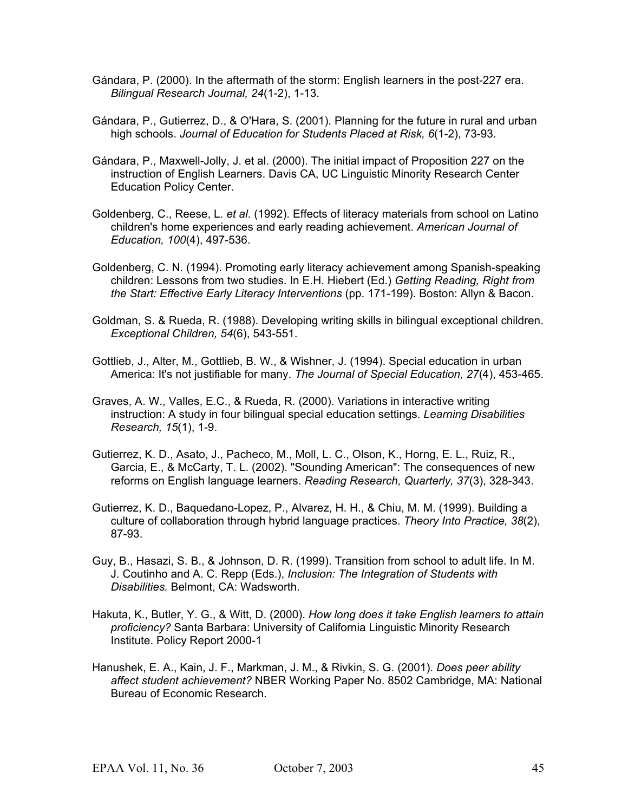- Gándara, P. (2000). In the aftermath of the storm: English learners in the post-227 era. *Bilingual Research Journal, 24*(1-2), 1-13.
- Gándara, P., Gutierrez, D., & O'Hara, S. (2001). Planning for the future in rural and urban high schools. *Journal of Education for Students Placed at Risk, 6*(1-2), 73-93.
- Gándara, P., Maxwell-Jolly, J. et al. (2000). The initial impact of Proposition 227 on the instruction of English Learners. Davis CA, UC Linguistic Minority Research Center Education Policy Center.
- Goldenberg, C., Reese, L. *et al*. (1992). Effects of literacy materials from school on Latino children's home experiences and early reading achievement. *American Journal of Education, 100*(4), 497-536.
- Goldenberg, C. N. (1994). Promoting early literacy achievement among Spanish-speaking children: Lessons from two studies. In E.H. Hiebert (Ed.) *Getting Reading, Right from the Start: Effective Early Literacy Interventions* (pp. 171-199). Boston: Allyn & Bacon.
- Goldman, S. & Rueda, R. (1988). Developing writing skills in bilingual exceptional children. *Exceptional Children, 54*(6), 543-551.
- Gottlieb, J., Alter, M., Gottlieb, B. W., & Wishner, J. (1994). Special education in urban America: It's not justifiable for many. *The Journal of Special Education, 27*(4), 453-465.
- Graves, A. W., Valles, E.C., & Rueda, R. (2000). Variations in interactive writing instruction: A study in four bilingual special education settings. *Learning Disabilities Research, 15*(1), 1-9.
- Gutierrez, K. D., Asato, J., Pacheco, M., Moll, L. C., Olson, K., Horng, E. L., Ruiz, R., Garcia, E., & McCarty, T. L. (2002). "Sounding American": The consequences of new reforms on English language learners. *Reading Research, Quarterly, 37*(3), 328-343.
- Gutierrez, K. D., Baquedano-Lopez, P., Alvarez, H. H., & Chiu, M. M. (1999). Building a culture of collaboration through hybrid language practices. *Theory Into Practice, 38*(2), 87-93.
- Guy, B., Hasazi, S. B., & Johnson, D. R. (1999). Transition from school to adult life. In M. J. Coutinho and A. C. Repp (Eds.), *Inclusion: The Integration of Students with Disabilities.* Belmont, CA: Wadsworth.
- Hakuta, K., Butler, Y. G., & Witt, D. (2000). *How long does it take English learners to attain proficiency?* Santa Barbara: University of California Linguistic Minority Research Institute. Policy Report 2000-1
- Hanushek, E. A., Kain, J. F., Markman, J. M., & Rivkin, S. G. (2001). *Does peer ability affect student achievement?* NBER Working Paper No. 8502 Cambridge, MA: National Bureau of Economic Research.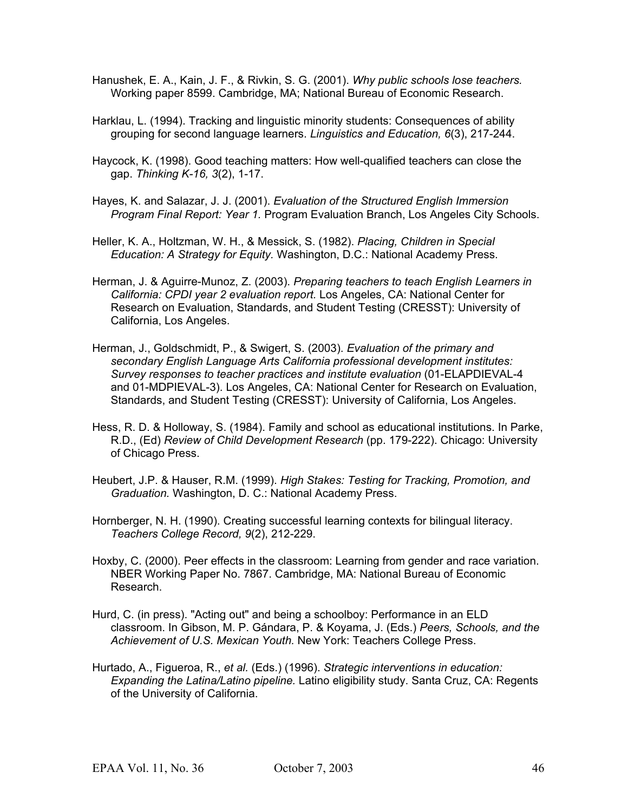- Hanushek, E. A., Kain, J. F., & Rivkin, S. G. (2001). *Why public schools lose teachers.* Working paper 8599. Cambridge, MA; National Bureau of Economic Research.
- Harklau, L. (1994). Tracking and linguistic minority students: Consequences of ability grouping for second language learners. *Linguistics and Education, 6*(3), 217-244.
- Haycock, K. (1998). Good teaching matters: How well-qualified teachers can close the gap. *Thinking K-16, 3*(2), 1-17.
- Hayes, K. and Salazar, J. J. (2001). *Evaluation of the Structured English Immersion Program Final Report: Year 1.* Program Evaluation Branch, Los Angeles City Schools.
- Heller, K. A., Holtzman, W. H., & Messick, S. (1982). *Placing, Children in Special Education: A Strategy for Equity.* Washington, D.C.: National Academy Press.
- Herman, J. & Aguirre-Munoz, Z. (2003). *Preparing teachers to teach English Learners in California: CPDI year 2 evaluation report.* Los Angeles, CA: National Center for Research on Evaluation, Standards, and Student Testing (CRESST): University of California, Los Angeles.
- Herman, J., Goldschmidt, P., & Swigert, S. (2003). *Evaluation of the primary and secondary English Language Arts California professional development institutes: Survey responses to teacher practices and institute evaluation* (01-ELAPDIEVAL-4 and 01-MDPIEVAL-3). Los Angeles, CA: National Center for Research on Evaluation, Standards, and Student Testing (CRESST): University of California, Los Angeles.
- Hess, R. D. & Holloway, S. (1984). Family and school as educational institutions. In Parke, R.D., (Ed) *Review of Child Development Research* (pp. 179-222). Chicago: University of Chicago Press.
- Heubert, J.P. & Hauser, R.M. (1999). *High Stakes: Testing for Tracking, Promotion, and Graduation.* Washington, D. C.: National Academy Press.
- Hornberger, N. H. (1990). Creating successful learning contexts for bilingual literacy. *Teachers College Record, 9*(2), 212-229.
- Hoxby, C. (2000). Peer effects in the classroom: Learning from gender and race variation. NBER Working Paper No. 7867. Cambridge, MA: National Bureau of Economic Research.
- Hurd, C. (in press). "Acting out" and being a schoolboy: Performance in an ELD classroom. In Gibson, M. P. Gándara, P. & Koyama, J. (Eds.) *Peers, Schools, and the Achievement of U.S. Mexican Youth.* New York: Teachers College Press.
- Hurtado, A., Figueroa, R., *et al.* (Eds.) (1996). *Strategic interventions in education: Expanding the Latina/Latino pipeline.* Latino eligibility study. Santa Cruz, CA: Regents of the University of California.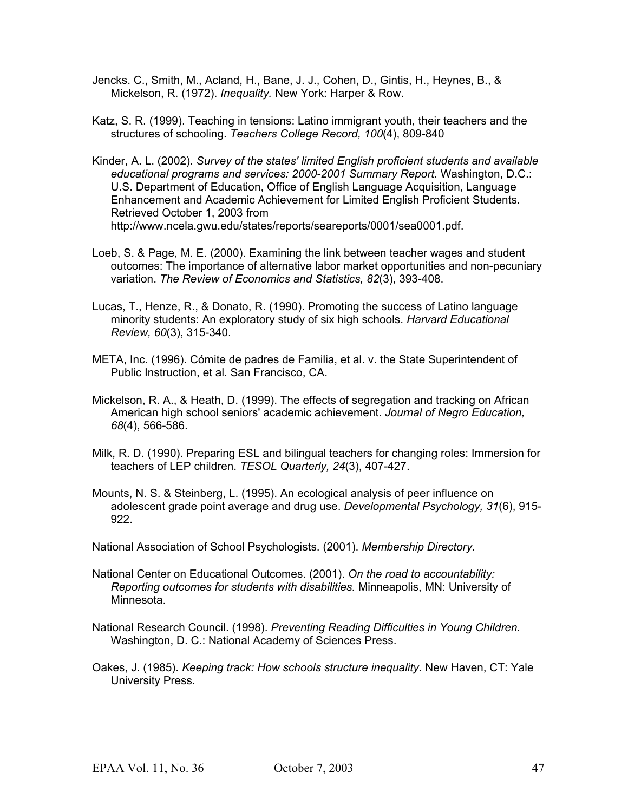- Jencks. C., Smith, M., Acland, H., Bane, J. J., Cohen, D., Gintis, H., Heynes, B., & Mickelson, R. (1972). *Inequality.* New York: Harper & Row.
- Katz, S. R. (1999). Teaching in tensions: Latino immigrant youth, their teachers and the structures of schooling. *Teachers College Record, 100*(4), 809-840
- Kinder, A. L. (2002). *Survey of the states' limited English proficient students and available educational programs and services: 2000-2001 Summary Report*. Washington, D.C.: U.S. Department of Education, Office of English Language Acquisition, Language Enhancement and Academic Achievement for Limited English Proficient Students. Retrieved October 1, 2003 from http://www.ncela.gwu.edu/states/reports/seareports/0001/sea0001.pdf.
- Loeb, S. & Page, M. E. (2000). Examining the link between teacher wages and student outcomes: The importance of alternative labor market opportunities and non-pecuniary variation. *The Review of Economics and Statistics, 82*(3), 393-408.
- Lucas, T., Henze, R., & Donato, R. (1990). Promoting the success of Latino language minority students: An exploratory study of six high schools. *Harvard Educational Review, 60*(3), 315-340.
- META, Inc. (1996). Cómite de padres de Familia, et al. v. the State Superintendent of Public Instruction, et al. San Francisco, CA.
- Mickelson, R. A., & Heath, D. (1999). The effects of segregation and tracking on African American high school seniors' academic achievement. *Journal of Negro Education, 68*(4), 566-586.
- Milk, R. D. (1990). Preparing ESL and bilingual teachers for changing roles: Immersion for teachers of LEP children. *TESOL Quarterly, 24*(3), 407-427.
- Mounts, N. S. & Steinberg, L. (1995). An ecological analysis of peer influence on adolescent grade point average and drug use. *Developmental Psychology, 31*(6), 915- 922.
- National Association of School Psychologists. (2001). *Membership Directory.*
- National Center on Educational Outcomes. (2001). *On the road to accountability: Reporting outcomes for students with disabilities.* Minneapolis, MN: University of Minnesota.
- National Research Council. (1998). *Preventing Reading Difficulties in Young Children.*  Washington, D. C.: National Academy of Sciences Press.
- Oakes, J. (1985). *Keeping track: How schools structure inequality.* New Haven, CT: Yale University Press.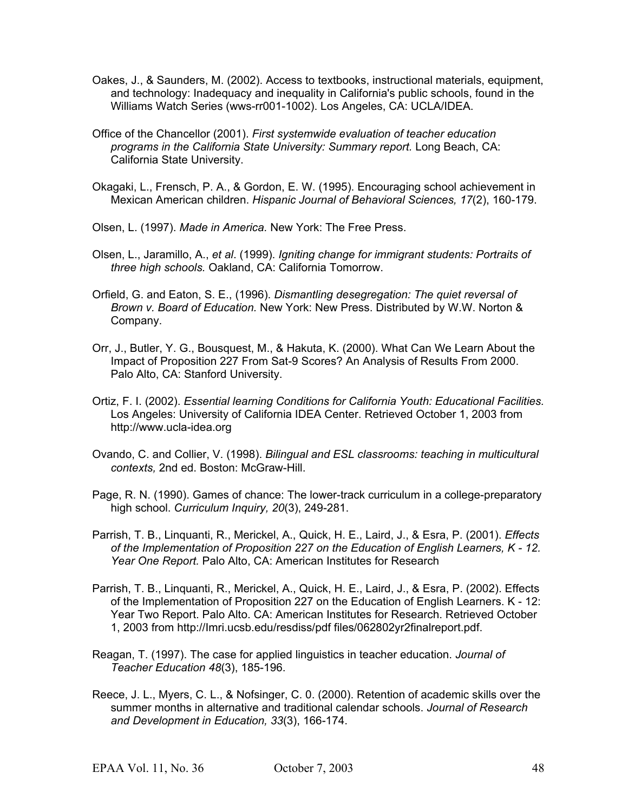- Oakes, J., & Saunders, M. (2002). Access to textbooks, instructional materials, equipment, and technology: Inadequacy and inequality in California's public schools, found in the Williams Watch Series (wws-rr001-1002). Los Angeles, CA: UCLA/IDEA.
- Office of the Chancellor (2001). *First systemwide evaluation of teacher education programs in the California State University: Summary report.* Long Beach, CA: California State University.
- Okagaki, L., Frensch, P. A., & Gordon, E. W. (1995). Encouraging school achievement in Mexican American children. *Hispanic Journal of Behavioral Sciences, 17*(2), 160-179.
- Olsen, L. (1997). *Made in America.* New York: The Free Press.
- Olsen, L., Jaramillo, A., *et al*. (1999). *Igniting change for immigrant students: Portraits of three high schools.* Oakland, CA: California Tomorrow.
- Orfield, G. and Eaton, S. E., (1996). *Dismantling desegregation: The quiet reversal of Brown v. Board of Education.* New York: New Press. Distributed by W.W. Norton & Company.
- Orr, J., Butler, Y. G., Bousquest, M., & Hakuta, K. (2000). What Can We Learn About the Impact of Proposition 227 From Sat-9 Scores? An Analysis of Results From 2000. Palo Alto, CA: Stanford University.
- Ortiz, F. I. (2002). *Essential learning Conditions for California Youth: Educational Facilities.* Los Angeles: University of California IDEA Center. Retrieved October 1, 2003 from http://www.ucla-idea.org
- Ovando, C. and Collier, V. (1998). *Bilingual and ESL classrooms: teaching in multicultural contexts,* 2nd ed. Boston: McGraw-Hill.
- Page, R. N. (1990). Games of chance: The lower-track curriculum in a college-preparatory high school. *Curriculum Inquiry, 20*(3), 249-281.
- Parrish, T. B., Linquanti, R., Merickel, A., Quick, H. E., Laird, J., & Esra, P. (2001). *Effects of the Implementation of Proposition 227 on the Education of English Learners, K - 12. Year One Report.* Palo Alto, CA: American Institutes for Research
- Parrish, T. B., Linquanti, R., Merickel, A., Quick, H. E., Laird, J., & Esra, P. (2002). Effects of the Implementation of Proposition 227 on the Education of English Learners. K - 12: Year Two Report. Palo Alto. CA: American Institutes for Research. Retrieved October 1, 2003 from http://Imri.ucsb.edu/resdiss/pdf files/062802yr2finalreport.pdf.
- Reagan, T. (1997). The case for applied linguistics in teacher education. *Journal of Teacher Education 48*(3), 185-196.
- Reece, J. L., Myers, C. L., & Nofsinger, C. 0. (2000). Retention of academic skills over the summer months in alternative and traditional calendar schools. *Journal of Research and Development in Education, 33*(3), 166-174.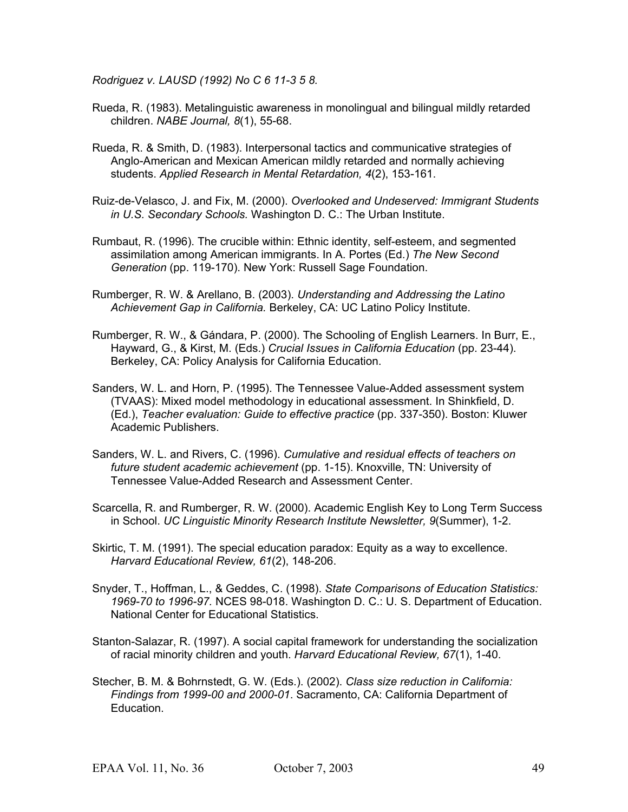*Rodriguez v. LAUSD (1992) No C 6 11-3 5 8.*

- Rueda, R. (1983). Metalinguistic awareness in monolingual and bilingual mildly retarded children. *NABE Journal, 8*(1), 55-68.
- Rueda, R. & Smith, D. (1983). Interpersonal tactics and communicative strategies of Anglo-American and Mexican American mildly retarded and normally achieving students. *Applied Research in Mental Retardation, 4*(2), 153-161.
- Ruiz-de-Velasco, J. and Fix, M. (2000). *Overlooked and Undeserved: Immigrant Students in U.S. Secondary Schools.* Washington D. C.: The Urban Institute.
- Rumbaut, R. (1996). The crucible within: Ethnic identity, self-esteem, and segmented assimilation among American immigrants. In A. Portes (Ed.) *The New Second Generation* (pp. 119-170). New York: Russell Sage Foundation.
- Rumberger, R. W. & Arellano, B. (2003). *Understanding and Addressing the Latino Achievement Gap in California.* Berkeley, CA: UC Latino Policy Institute.
- Rumberger, R. W., & Gándara, P. (2000). The Schooling of English Learners. In Burr, E., Hayward, G., & Kirst, M. (Eds.) *Crucial Issues in California Education* (pp. 23-44). Berkeley, CA: Policy Analysis for California Education.
- Sanders, W. L. and Horn, P. (1995). The Tennessee Value-Added assessment system (TVAAS): Mixed model methodology in educational assessment. In Shinkfield, D. (Ed.), *Teacher evaluation: Guide to effective practice* (pp. 337-350). Boston: Kluwer Academic Publishers.
- Sanders, W. L. and Rivers, C. (1996). *Cumulative and residual effects of teachers on future student academic achievement* (pp. 1-15). Knoxville, TN: University of Tennessee Value-Added Research and Assessment Center.
- Scarcella, R. and Rumberger, R. W. (2000). Academic English Key to Long Term Success in School. *UC Linguistic Minority Research Institute Newsletter, 9*(Summer), 1-2.
- Skirtic, T. M. (1991). The special education paradox: Equity as a way to excellence. *Harvard Educational Review, 61*(2), 148-206.
- Snyder, T., Hoffman, L., & Geddes, C. (1998). *State Comparisons of Education Statistics: 1969-70 to 1996-97.* NCES 98-018. Washington D. C.: U. S. Department of Education. National Center for Educational Statistics.
- Stanton-Salazar, R. (1997). A social capital framework for understanding the socialization of racial minority children and youth. *Harvard Educational Review, 67*(1), 1-40.
- Stecher, B. M. & Bohrnstedt, G. W. (Eds.). (2002). *Class size reduction in California: Findings from 1999-00 and 2000-01*. Sacramento, CA: California Department of Education.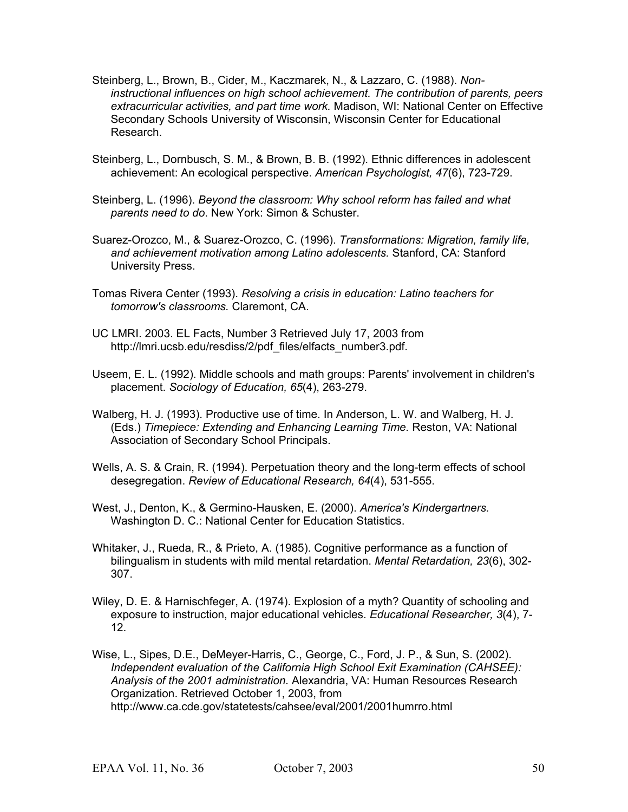- Steinberg, L., Brown, B., Cider, M., Kaczmarek, N., & Lazzaro, C. (1988). *Noninstructional influences on high school achievement. The contribution of parents, peers extracurricular activities, and part time work.* Madison, WI: National Center on Effective Secondary Schools University of Wisconsin, Wisconsin Center for Educational Research.
- Steinberg, L., Dornbusch, S. M., & Brown, B. B. (1992). Ethnic differences in adolescent achievement: An ecological perspective. *American Psychologist, 47*(6), 723-729.
- Steinberg, L. (1996). *Beyond the classroom: Why school reform has failed and what parents need to do*. New York: Simon & Schuster.
- Suarez-Orozco, M., & Suarez-Orozco, C. (1996). *Transformations: Migration, family life, and achievement motivation among Latino adolescents.* Stanford, CA: Stanford University Press.
- Tomas Rivera Center (1993). *Resolving a crisis in education: Latino teachers for tomorrow's classrooms.* Claremont, CA.
- UC LMRI. 2003. EL Facts, Number 3 Retrieved July 17, 2003 from http://lmri.ucsb.edu/resdiss/2/pdf\_files/elfacts\_number3.pdf.
- Useem, E. L. (1992). Middle schools and math groups: Parents' involvement in children's placement. *Sociology of Education, 65*(4), 263-279.
- Walberg, H. J. (1993). Productive use of time. In Anderson, L. W. and Walberg, H. J. (Eds.) *Timepiece: Extending and Enhancing Learning Time.* Reston, VA: National Association of Secondary School Principals.
- Wells, A. S. & Crain, R. (1994). Perpetuation theory and the long-term effects of school desegregation. *Review of Educational Research, 64*(4), 531-555.
- West, J., Denton, K., & Germino-Hausken, E. (2000). *America's Kindergartners.* Washington D. C.: National Center for Education Statistics.
- Whitaker, J., Rueda, R., & Prieto, A. (1985). Cognitive performance as a function of bilingualism in students with mild mental retardation. *Mental Retardation, 23*(6), 302- 307.
- Wiley, D. E. & Harnischfeger, A. (1974). Explosion of a myth? Quantity of schooling and exposure to instruction, major educational vehicles. *Educational Researcher, 3*(4), 7- 12.
- Wise, L., Sipes, D.E., DeMeyer-Harris, C., George, C., Ford, J. P., & Sun, S. (2002). *Independent evaluation of the California High School Exit Examination (CAHSEE): Analysis of the 2001 administration.* Alexandria, VA: Human Resources Research Organization. Retrieved October 1, 2003, from http://www.ca.cde.gov/statetests/cahsee/eval/2001/2001humrro.html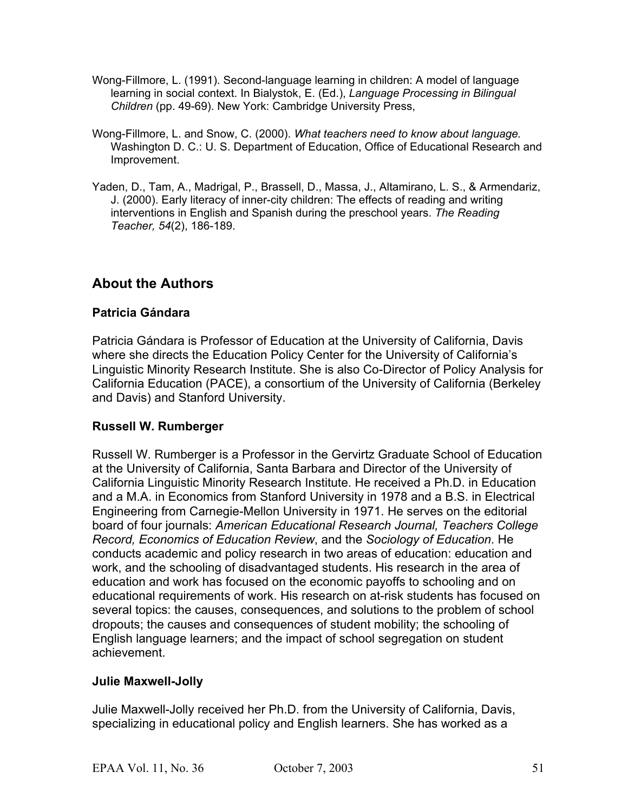- Wong-Fillmore, L. (1991). Second-language learning in children: A model of language learning in social context. In Bialystok, E. (Ed.), *Language Processing in Bilingual Children* (pp. 49-69). New York: Cambridge University Press,
- Wong-Fillmore, L. and Snow, C. (2000). *What teachers need to know about language.* Washington D. C.: U. S. Department of Education, Office of Educational Research and Improvement.
- Yaden, D., Tam, A., Madrigal, P., Brassell, D., Massa, J., Altamirano, L. S., & Armendariz, J. (2000). Early literacy of inner-city children: The effects of reading and writing interventions in English and Spanish during the preschool years. *The Reading Teacher, 54*(2), 186-189.

## **About the Authors**

## **Patricia Gándara**

Patricia Gándara is Professor of Education at the University of California, Davis where she directs the Education Policy Center for the University of California's Linguistic Minority Research Institute. She is also Co-Director of Policy Analysis for California Education (PACE), a consortium of the University of California (Berkeley and Davis) and Stanford University.

## **Russell W. Rumberger**

Russell W. Rumberger is a Professor in the Gervirtz Graduate School of Education at the University of California, Santa Barbara and Director of the University of California Linguistic Minority Research Institute. He received a Ph.D. in Education and a M.A. in Economics from Stanford University in 1978 and a B.S. in Electrical Engineering from Carnegie-Mellon University in 1971. He serves on the editorial board of four journals: *American Educational Research Journal, Teachers College Record, Economics of Education Review*, and the *Sociology of Education*. He conducts academic and policy research in two areas of education: education and work, and the schooling of disadvantaged students. His research in the area of education and work has focused on the economic payoffs to schooling and on educational requirements of work. His research on at-risk students has focused on several topics: the causes, consequences, and solutions to the problem of school dropouts; the causes and consequences of student mobility; the schooling of English language learners; and the impact of school segregation on student achievement.

## **Julie Maxwell-Jolly**

Julie Maxwell-Jolly received her Ph.D. from the University of California, Davis, specializing in educational policy and English learners. She has worked as a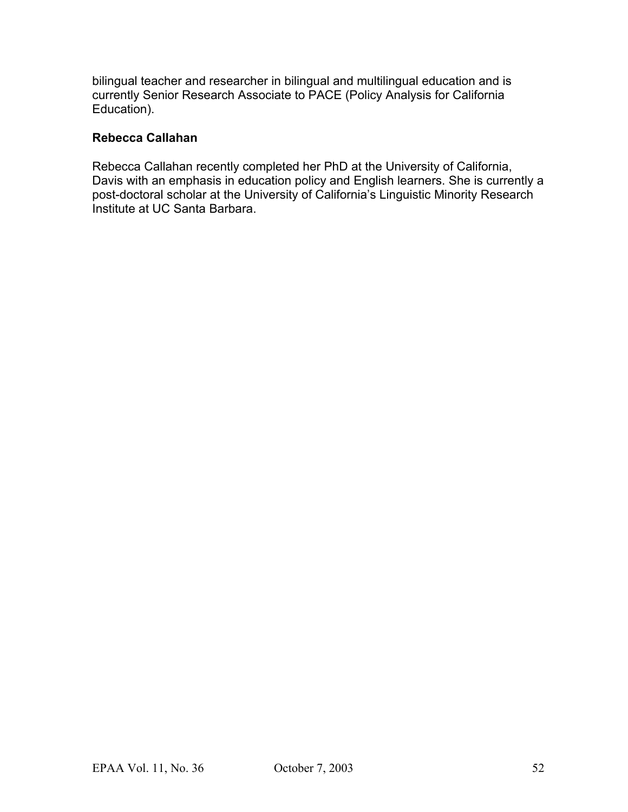bilingual teacher and researcher in bilingual and multilingual education and is currently Senior Research Associate to PACE (Policy Analysis for California Education).

### **Rebecca Callahan**

Rebecca Callahan recently completed her PhD at the University of California, Davis with an emphasis in education policy and English learners. She is currently a post-doctoral scholar at the University of California's Linguistic Minority Research Institute at UC Santa Barbara.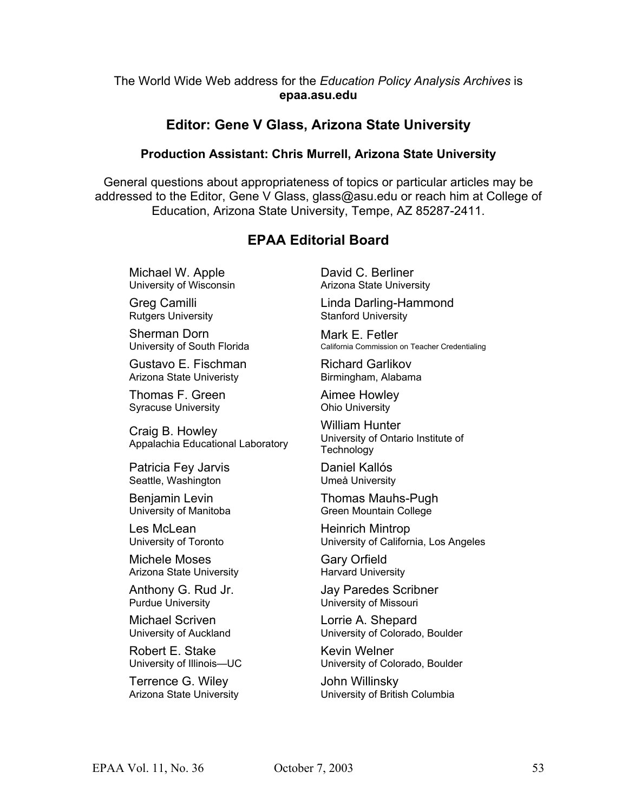#### The World Wide Web address for the *Education Policy Analysis Archives* is **epaa.asu.edu**

## **Editor: Gene V Glass, Arizona State University**

#### **Production Assistant: Chris Murrell, Arizona State University**

General questions about appropriateness of topics or particular articles may be addressed to the Editor, Gene V Glass, glass@asu.edu or reach him at College of Education, Arizona State University, Tempe, AZ 85287-2411.

## **EPAA Editorial Board**

Michael W. Apple University of Wisconsin

Greg Camilli Rutgers University

Sherman Dorn University of South Florida

Gustavo E. Fischman Arizona State Univeristy

Thomas F. Green Syracuse University

Craig B. Howley Appalachia Educational Laboratory

Patricia Fey Jarvis Seattle, Washington

Benjamin Levin University of Manitoba

Les McLean University of Toronto

Michele Moses Arizona State University

Anthony G. Rud Jr. Purdue University

Michael Scriven University of Auckland

Robert E. Stake University of Illinois—UC

Terrence G. Wiley Arizona State University David C. Berliner Arizona State University

Linda Darling-Hammond Stanford University

Mark F. Fetler California Commission on Teacher Credentialing

Richard Garlikov Birmingham, Alabama

Aimee Howley Ohio University

William Hunter University of Ontario Institute of **Technology** 

Daniel Kallós Umeå University

Thomas Mauhs-Pugh Green Mountain College

Heinrich Mintrop University of California, Los Angeles

Gary Orfield Harvard University

Jay Paredes Scribner University of Missouri

Lorrie A. Shepard University of Colorado, Boulder

Kevin Welner University of Colorado, Boulder

John Willinsky University of British Columbia